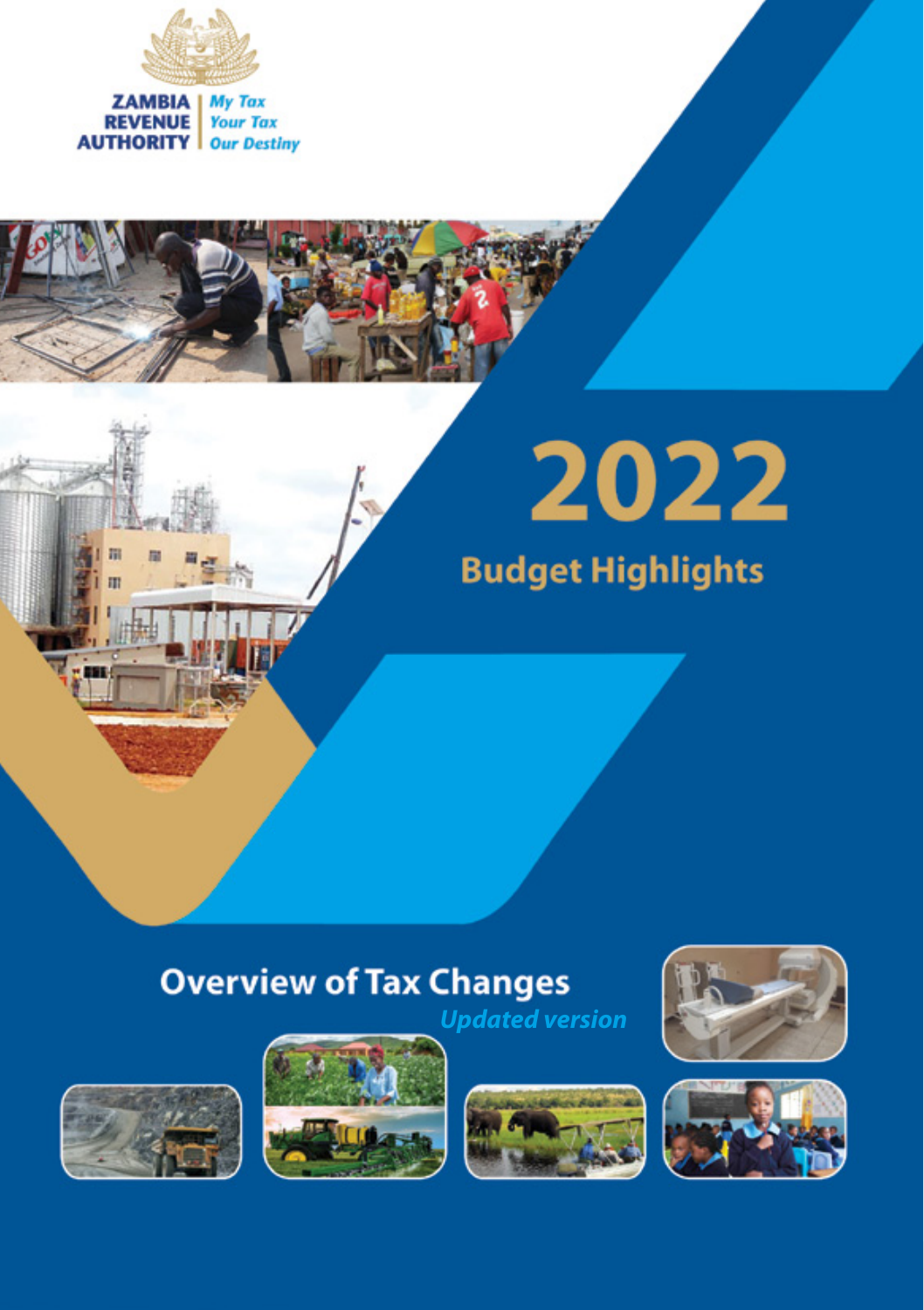





# **Overview of Tax Changes**











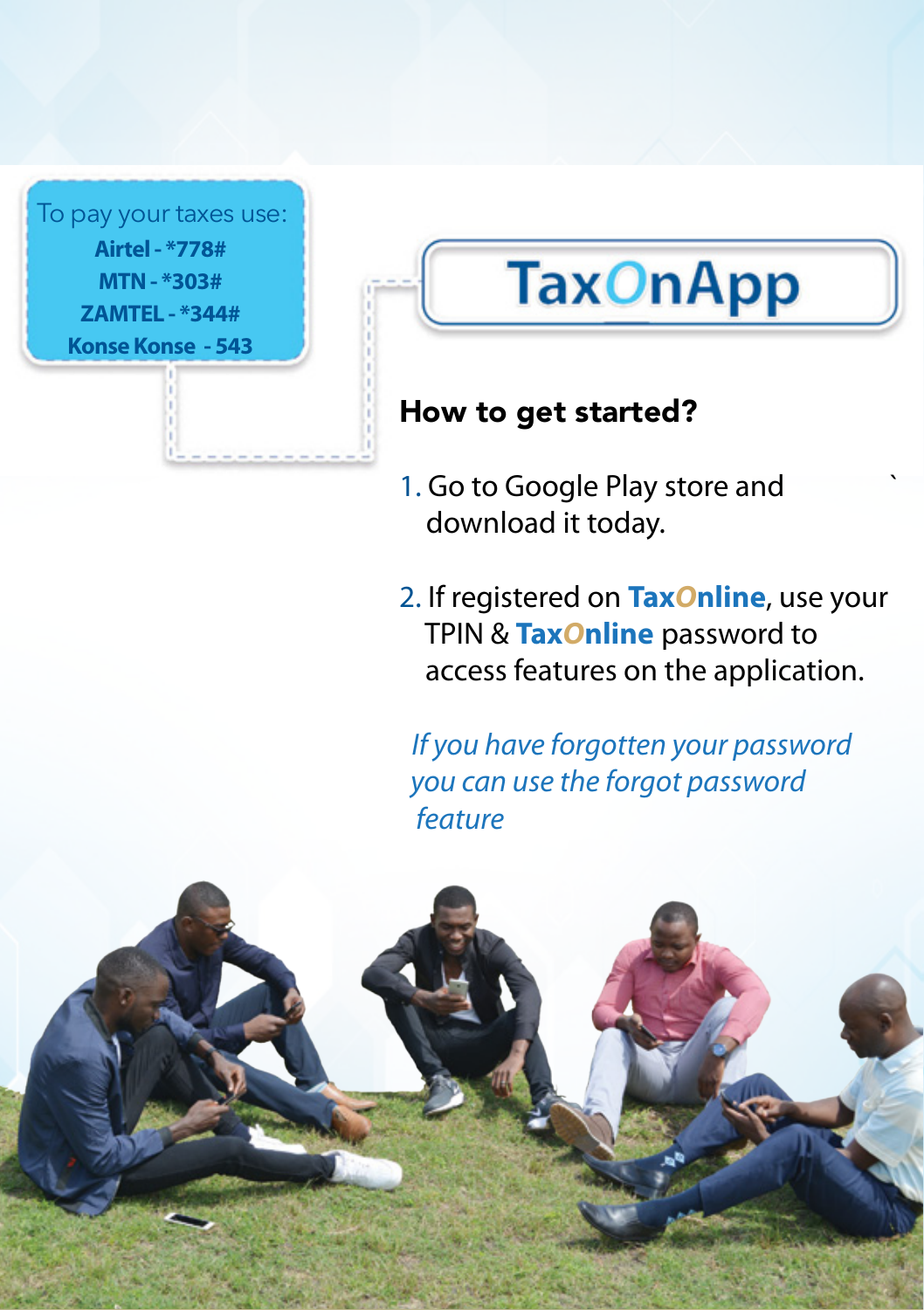**Airtel - \*778# MTN - \*303# ZAMTEL - \*344# Konse Konse - 543** To pay your taxes use:

# **TaxOnApp**

## How to get started?

- 1. Go to Google Play store and ` download it today.
- 2. If registered on **Tax***O***nline**, use your TPIN & **Tax***O***nline** password to access features on the application.

 *If you have forgotten your password you can use the forgot password feature*

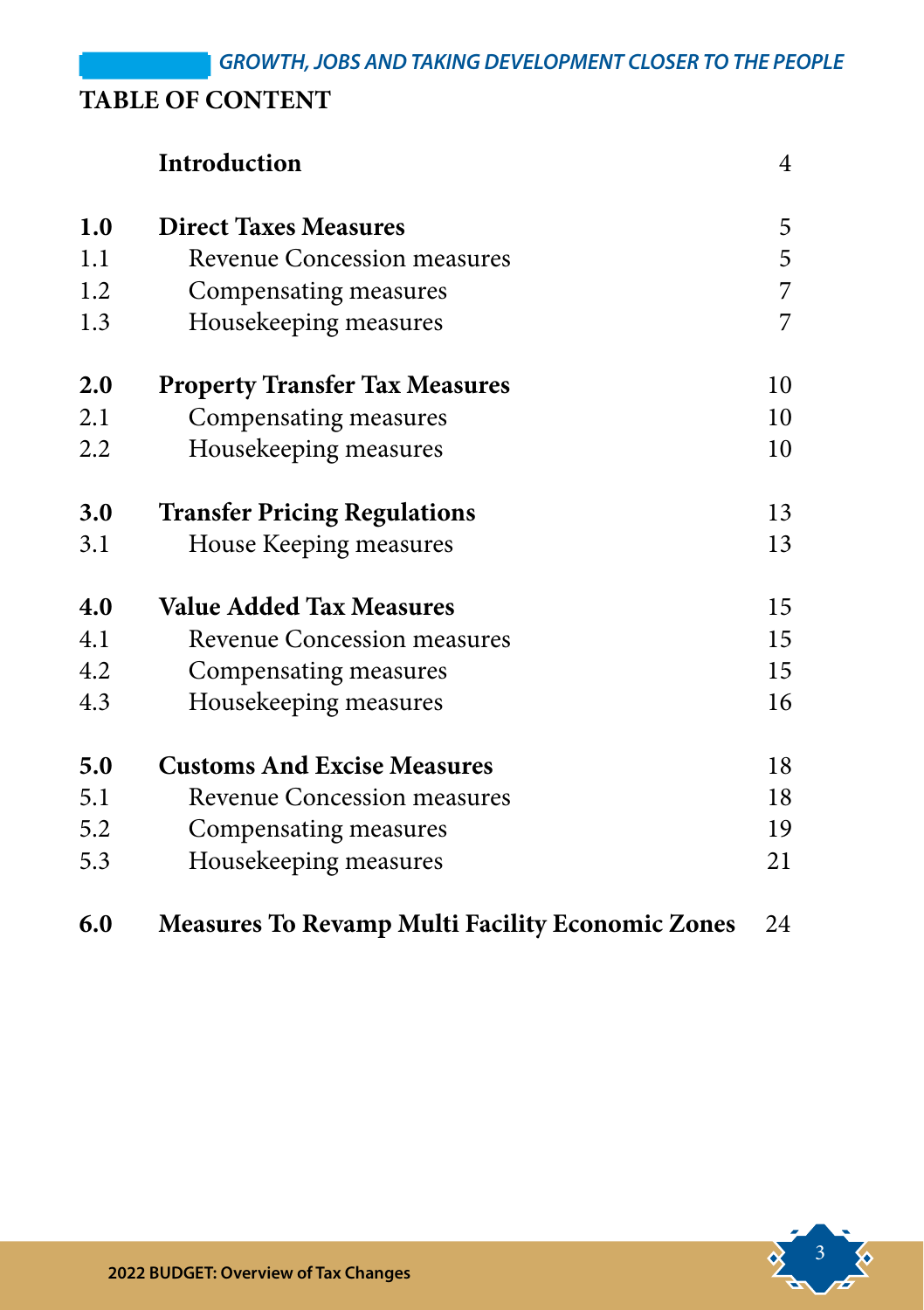### **TABLE OF CONTENT**

|     | Introduction                                            | $\overline{4}$ |
|-----|---------------------------------------------------------|----------------|
| 1.0 | <b>Direct Taxes Measures</b>                            | 5              |
| 1.1 | Revenue Concession measures                             | 5              |
| 1.2 | Compensating measures                                   | 7              |
| 1.3 | Housekeeping measures                                   | 7              |
| 2.0 | <b>Property Transfer Tax Measures</b>                   | 10             |
| 2.1 | Compensating measures                                   | 10             |
| 2.2 | Housekeeping measures                                   | 10             |
| 3.0 | <b>Transfer Pricing Regulations</b>                     | 13             |
| 3.1 | House Keeping measures                                  | 13             |
| 4.0 | <b>Value Added Tax Measures</b>                         | 15             |
| 4.1 | Revenue Concession measures                             | 15             |
| 4.2 | Compensating measures                                   | 15             |
| 4.3 | Housekeeping measures                                   | 16             |
| 5.0 | <b>Customs And Excise Measures</b>                      | 18             |
| 5.1 | Revenue Concession measures                             | 18             |
| 5.2 | Compensating measures                                   | 19             |
| 5.3 | Housekeeping measures                                   | 21             |
| 6.0 | <b>Measures To Revamp Multi Facility Economic Zones</b> | 24             |

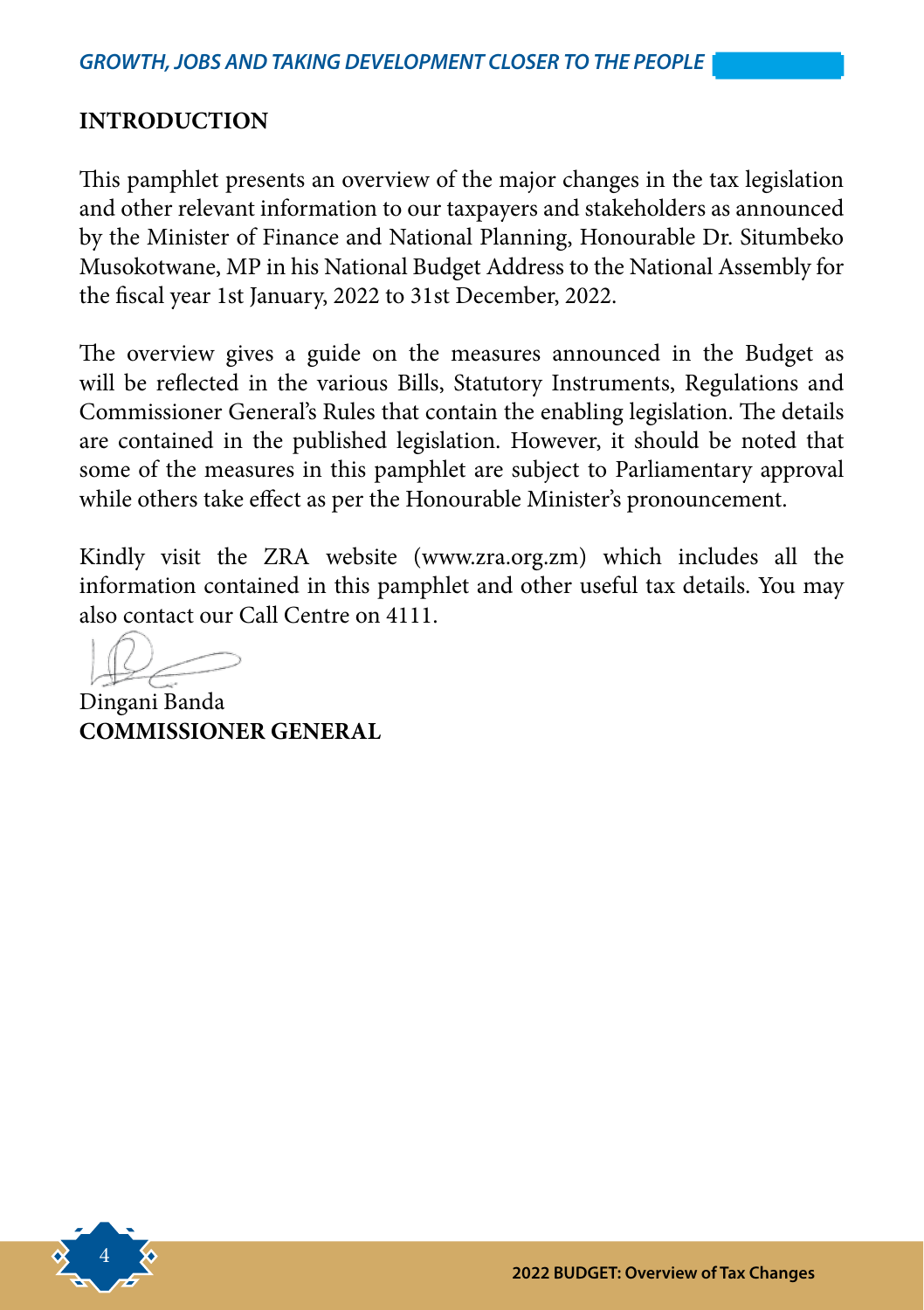#### **INTRODUCTION**

This pamphlet presents an overview of the major changes in the tax legislation and other relevant information to our taxpayers and stakeholders as announced by the Minister of Finance and National Planning, Honourable Dr. Situmbeko Musokotwane, MP in his National Budget Address to the National Assembly for the fiscal year 1st January, 2022 to 31st December, 2022.

The overview gives a guide on the measures announced in the Budget as will be reflected in the various Bills, Statutory Instruments, Regulations and Commissioner General's Rules that contain the enabling legislation. The details are contained in the published legislation. However, it should be noted that some of the measures in this pamphlet are subject to Parliamentary approval while others take effect as per the Honourable Minister's pronouncement.

Kindly visit the ZRA website (www.zra.org.zm) which includes all the information contained in this pamphlet and other useful tax details. You may also contact our Call Centre on 4111.

Dingani Banda **COMMISSIONER GENERAL**

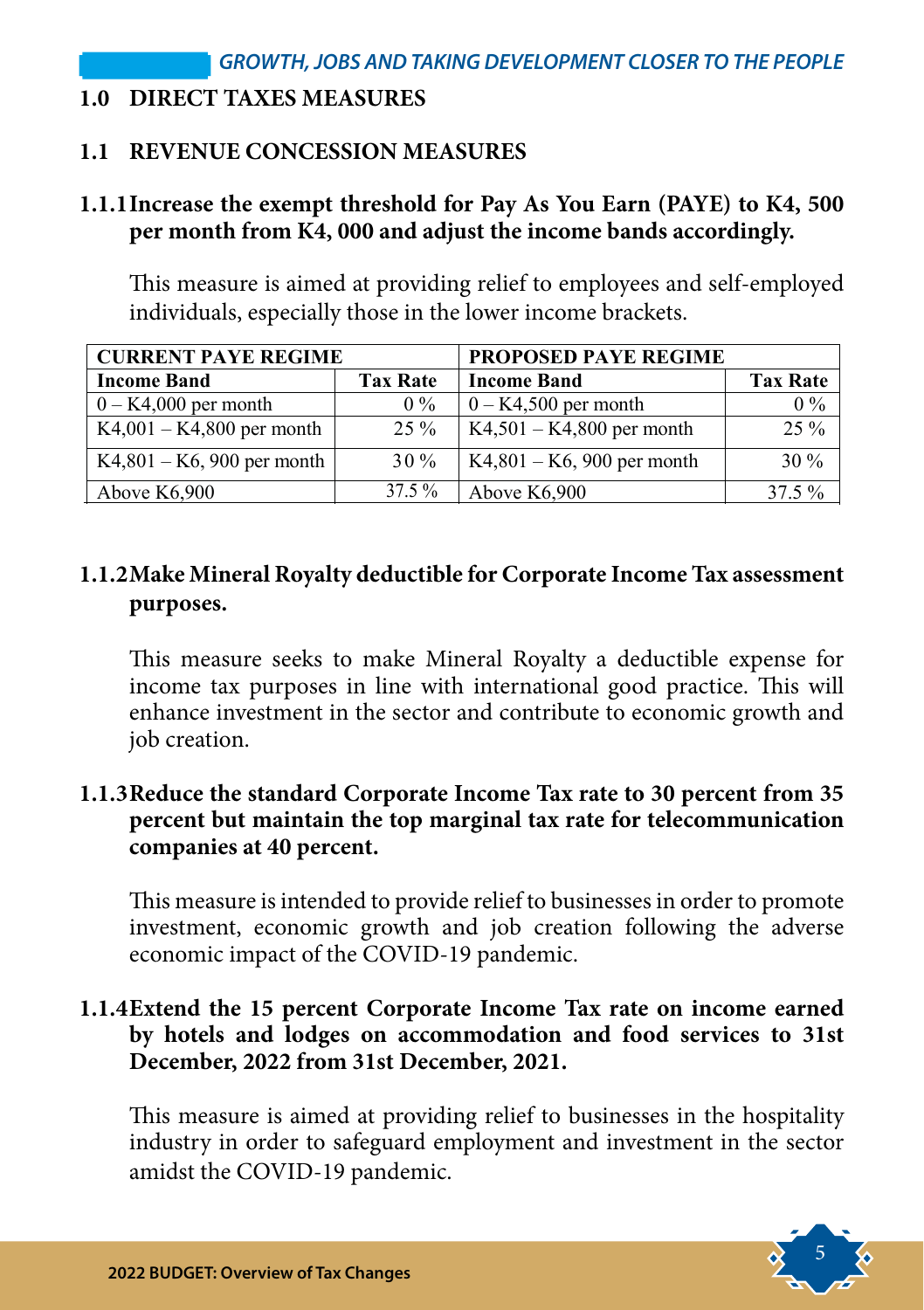#### **1.0 DIRECT TAXES MEASURES**

#### **1.1 REVENUE CONCESSION MEASURES**

#### **1.1.1Increase the exempt threshold for Pay As You Earn (PAYE) to K4, 500 per month from K4, 000 and adjust the income bands accordingly.**

This measure is aimed at providing relief to employees and self-employed individuals, especially those in the lower income brackets.

| <b>CURRENT PAYE REGIME</b>    |                 | <b>PROPOSED PAYE REGIME</b>   |                 |  |
|-------------------------------|-----------------|-------------------------------|-----------------|--|
| <b>Income Band</b>            | <b>Tax Rate</b> | <b>Income Band</b>            | <b>Tax Rate</b> |  |
| $0 - K4,000$ per month        | $0\%$           | $0 - K4,500$ per month        | $0\%$           |  |
| $K4,001 - K4,800$ per month   | $25\%$          | $K4,501 - K4,800$ per month   | $25\%$          |  |
| $K4,801 - K6$ , 900 per month | $30\%$          | $K4,801 - K6$ , 900 per month | 30%             |  |
| Above $K6,900$                | 37.5 %          | Above $K6,900$                | $37.5 \%$       |  |

#### **1.1.2Make Mineral Royalty deductible for Corporate Income Tax assessment purposes.**

This measure seeks to make Mineral Royalty a deductible expense for income tax purposes in line with international good practice. This will enhance investment in the sector and contribute to economic growth and job creation.

#### **1.1.3Reduce the standard Corporate Income Tax rate to 30 percent from 35 percent but maintain the top marginal tax rate for telecommunication companies at 40 percent.**

This measure is intended to provide relief to businesses in order to promote investment, economic growth and job creation following the adverse economic impact of the COVID-19 pandemic.

#### **1.1.4Extend the 15 percent Corporate Income Tax rate on income earned by hotels and lodges on accommodation and food services to 31st December, 2022 from 31st December, 2021.**

This measure is aimed at providing relief to businesses in the hospitality industry in order to safeguard employment and investment in the sector amidst the COVID-19 pandemic.

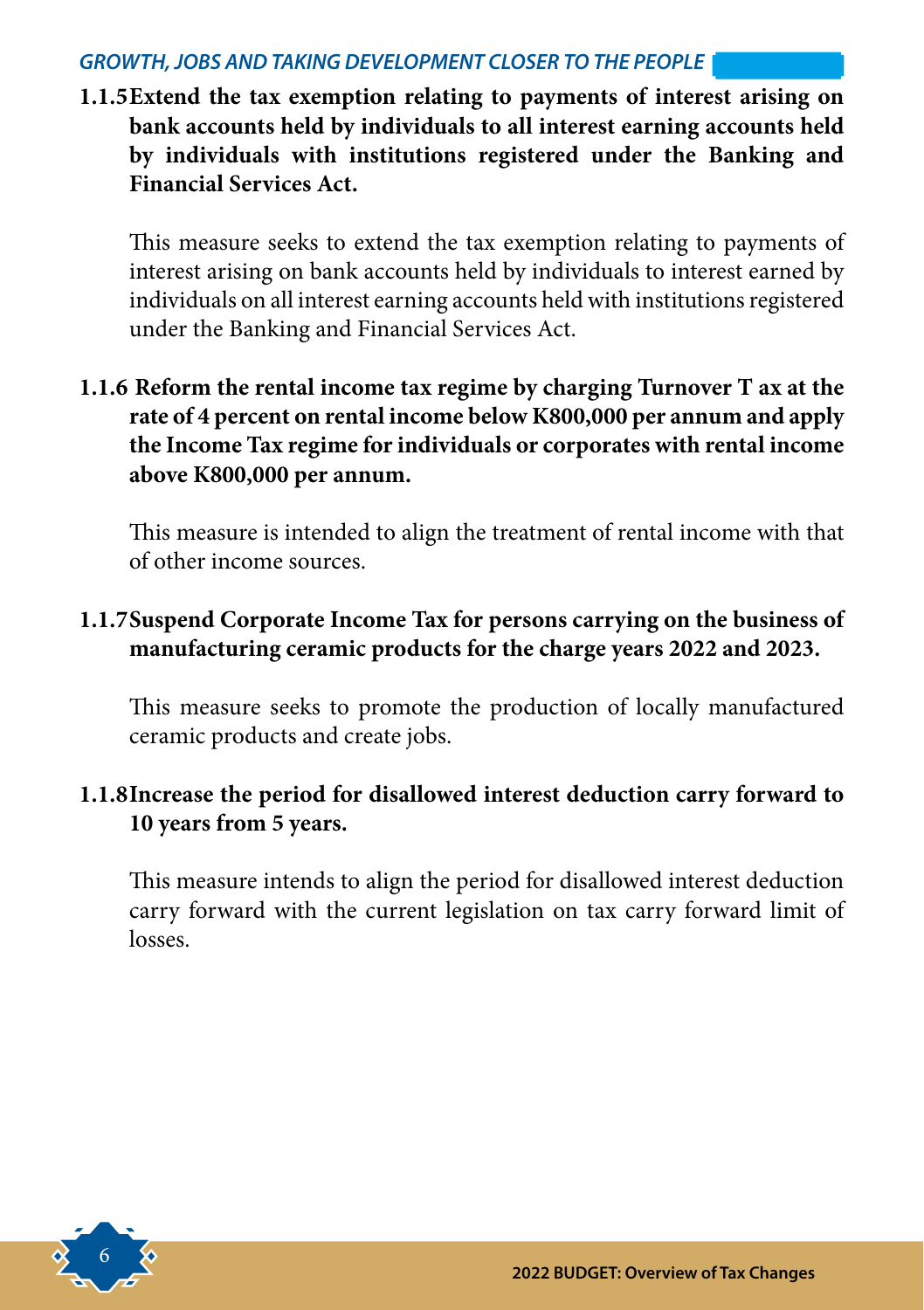#### *GROWTH, JOBS AND TAKING DEVELOPMENT CLOSER TO THE PEOPLE*

**1.1.5Extend the tax exemption relating to payments of interest arising on bank accounts held by individuals to all interest earning accounts held by individuals with institutions registered under the Banking and Financial Services Act.**

This measure seeks to extend the tax exemption relating to payments of interest arising on bank accounts held by individuals to interest earned by individuals on all interest earning accounts held with institutions registered under the Banking and Financial Services Act.

**1.1.6 Reform the rental income tax regime by charging Turnover T ax at the rate of 4 percent on rental income below K800,000 per annum and apply the Income Tax regime for individuals or corporates with rental income above K800,000 per annum.**

This measure is intended to align the treatment of rental income with that of other income sources.

#### **1.1.7Suspend Corporate Income Tax for persons carrying on the business of manufacturing ceramic products for the charge years 2022 and 2023.**

This measure seeks to promote the production of locally manufactured ceramic products and create jobs.

#### **1.1.8Increase the period for disallowed interest deduction carry forward to 10 years from 5 years.**

This measure intends to align the period for disallowed interest deduction carry forward with the current legislation on tax carry forward limit of losses.

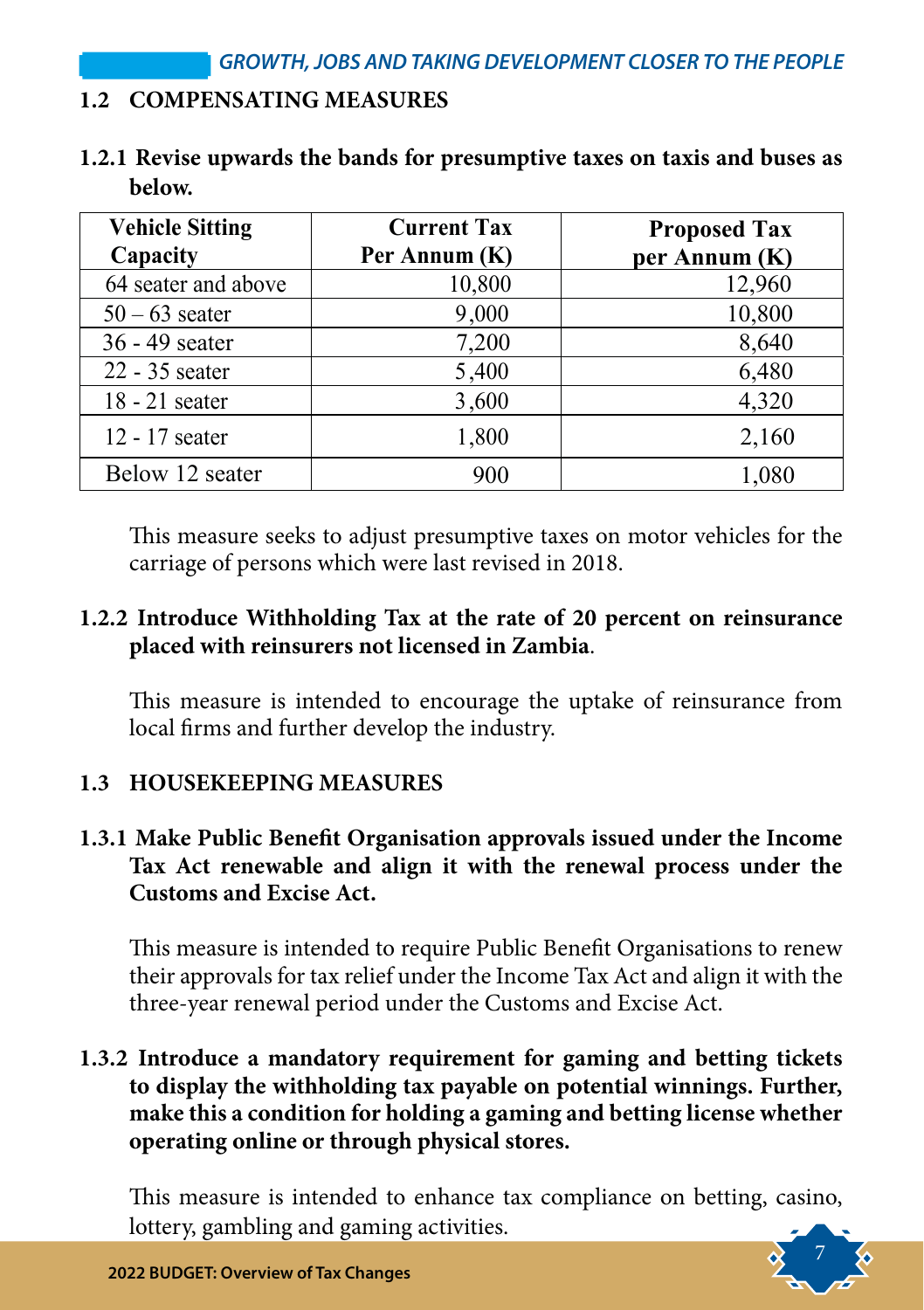#### **1.2 COMPENSATING MEASURES**

|        | 1.2.1 Revise upwards the bands for presumptive taxes on taxis and buses as |  |  |  |
|--------|----------------------------------------------------------------------------|--|--|--|
| below. |                                                                            |  |  |  |

| <b>Vehicle Sitting</b> | <b>Current Tax</b> | <b>Proposed Tax</b> |
|------------------------|--------------------|---------------------|
| Capacity               | Per Annum (K)      | per Annum (K)       |
| 64 seater and above    | 10,800             | 12,960              |
| $50 - 63$ seater       | 9,000              | 10,800              |
| 36 - 49 seater         | 7,200              | 8,640               |
| 22 - 35 seater         | 5,400              | 6,480               |
| $18 - 21$ seater       | 3,600              | 4,320               |
| 12 - 17 seater         | 1,800              | 2,160               |
| Below 12 seater        | 900                | 1,080               |

This measure seeks to adjust presumptive taxes on motor vehicles for the carriage of persons which were last revised in 2018.

#### **1.2.2 Introduce Withholding Tax at the rate of 20 percent on reinsurance placed with reinsurers not licensed in Zambia**.

This measure is intended to encourage the uptake of reinsurance from local firms and further develop the industry.

#### **1.3 HOUSEKEEPING MEASURES**

#### **1.3.1 Make Public Benefit Organisation approvals issued under the Income Tax Act renewable and align it with the renewal process under the Customs and Excise Act.**

This measure is intended to require Public Benefit Organisations to renew their approvals for tax relief under the Income Tax Act and align it with the three-year renewal period under the Customs and Excise Act.

#### **1.3.2 Introduce a mandatory requirement for gaming and betting tickets to display the withholding tax payable on potential winnings. Further, make this a condition for holding a gaming and betting license whether operating online or through physical stores.**

This measure is intended to enhance tax compliance on betting, casino, lottery, gambling and gaming activities.

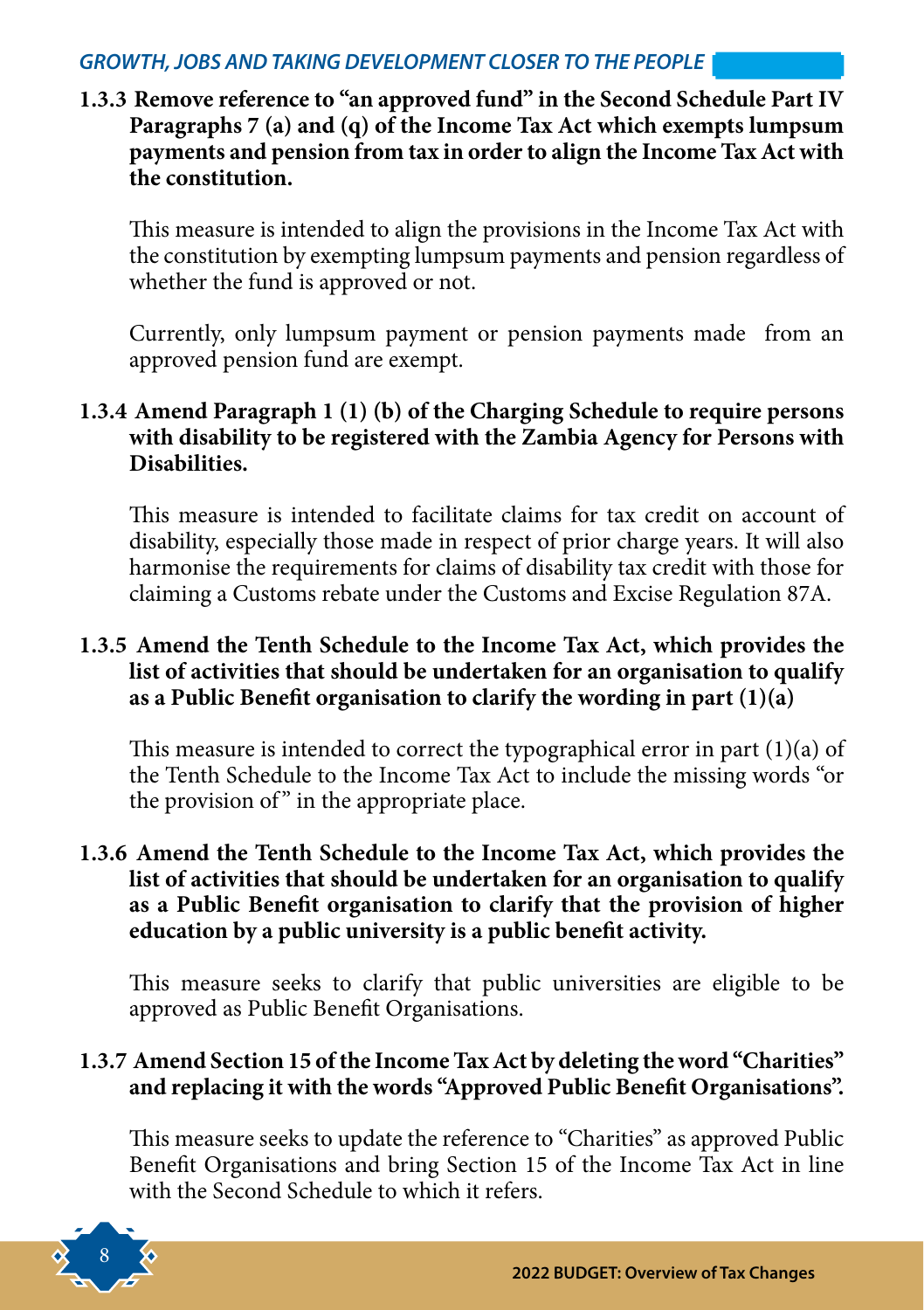#### *GROWTH, JOBS AND TAKING DEVELOPMENT CLOSER TO THE PEOPLE*

**1.3.3 Remove reference to "an approved fund" in the Second Schedule Part IV Paragraphs 7 (a) and (q) of the Income Tax Act which exempts lumpsum payments and pension from tax in order to align the Income Tax Act with the constitution.** 

This measure is intended to align the provisions in the Income Tax Act with the constitution by exempting lumpsum payments and pension regardless of whether the fund is approved or not.

Currently, only lumpsum payment or pension payments made from an approved pension fund are exempt.

#### **1.3.4 Amend Paragraph 1 (1) (b) of the Charging Schedule to require persons with disability to be registered with the Zambia Agency for Persons with Disabilities.**

This measure is intended to facilitate claims for tax credit on account of disability, especially those made in respect of prior charge years. It will also harmonise the requirements for claims of disability tax credit with those for claiming a Customs rebate under the Customs and Excise Regulation 87A.

#### **1.3.5 Amend the Tenth Schedule to the Income Tax Act, which provides the list of activities that should be undertaken for an organisation to qualify as a Public Benefit organisation to clarify the wording in part (1)(a)**

This measure is intended to correct the typographical error in part  $(1)(a)$  of the Tenth Schedule to the Income Tax Act to include the missing words "or the provision of" in the appropriate place.

#### **1.3.6 Amend the Tenth Schedule to the Income Tax Act, which provides the list of activities that should be undertaken for an organisation to qualify as a Public Benefit organisation to clarify that the provision of higher education by a public university is a public benefit activity.**

This measure seeks to clarify that public universities are eligible to be approved as Public Benefit Organisations.

#### **1.3.7 Amend Section 15 of the Income Tax Act by deleting the word "Charities" and replacing it with the words "Approved Public Benefit Organisations".**

This measure seeks to update the reference to "Charities" as approved Public Benefit Organisations and bring Section 15 of the Income Tax Act in line with the Second Schedule to which it refers.

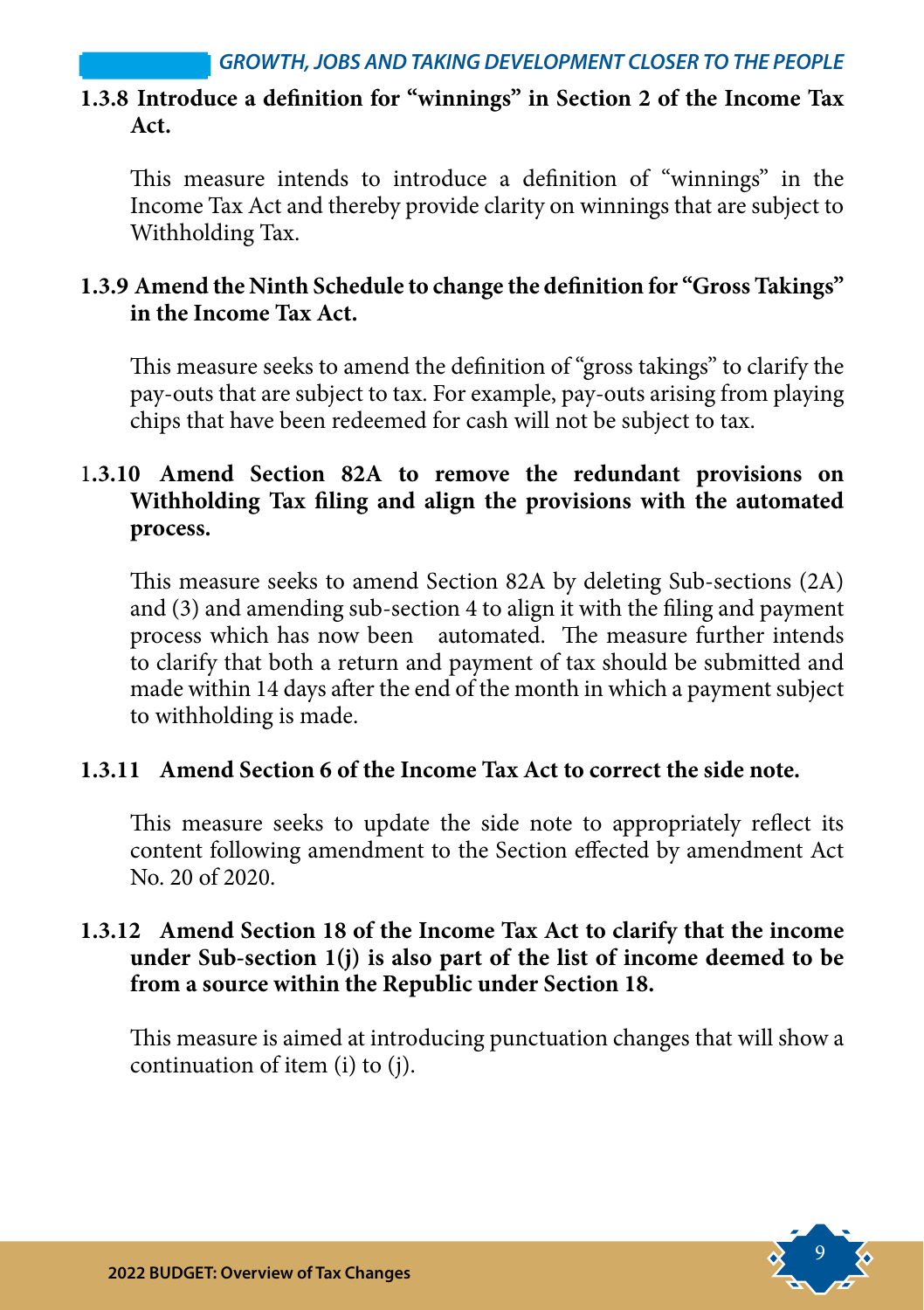#### **1.3.8 Introduce a definition for "winnings" in Section 2 of the Income Tax Act.**

This measure intends to introduce a definition of "winnings" in the Income Tax Act and thereby provide clarity on winnings that are subject to Withholding Tax.

#### **1.3.9 Amend the Ninth Schedule to change the definition for "Gross Takings" in the Income Tax Act.**

This measure seeks to amend the definition of "gross takings" to clarify the pay-outs that are subject to tax. For example, pay-outs arising from playing chips that have been redeemed for cash will not be subject to tax.

#### 1**.3.10 Amend Section 82A to remove the redundant provisions on Withholding Tax filing and align the provisions with the automated process.**

This measure seeks to amend Section 82A by deleting Sub-sections (2A) and (3) and amending sub-section 4 to align it with the filing and payment process which has now been automated. The measure further intends to clarify that both a return and payment of tax should be submitted and made within 14 days after the end of the month in which a payment subject to withholding is made.

#### **1.3.11 Amend Section 6 of the Income Tax Act to correct the side note.**

This measure seeks to update the side note to appropriately reflect its content following amendment to the Section effected by amendment Act No. 20 of 2020.

#### **1.3.12 Amend Section 18 of the Income Tax Act to clarify that the income under Sub-section 1(j) is also part of the list of income deemed to be from a source within the Republic under Section 18.**

This measure is aimed at introducing punctuation changes that will show a continuation of item (i) to (j).

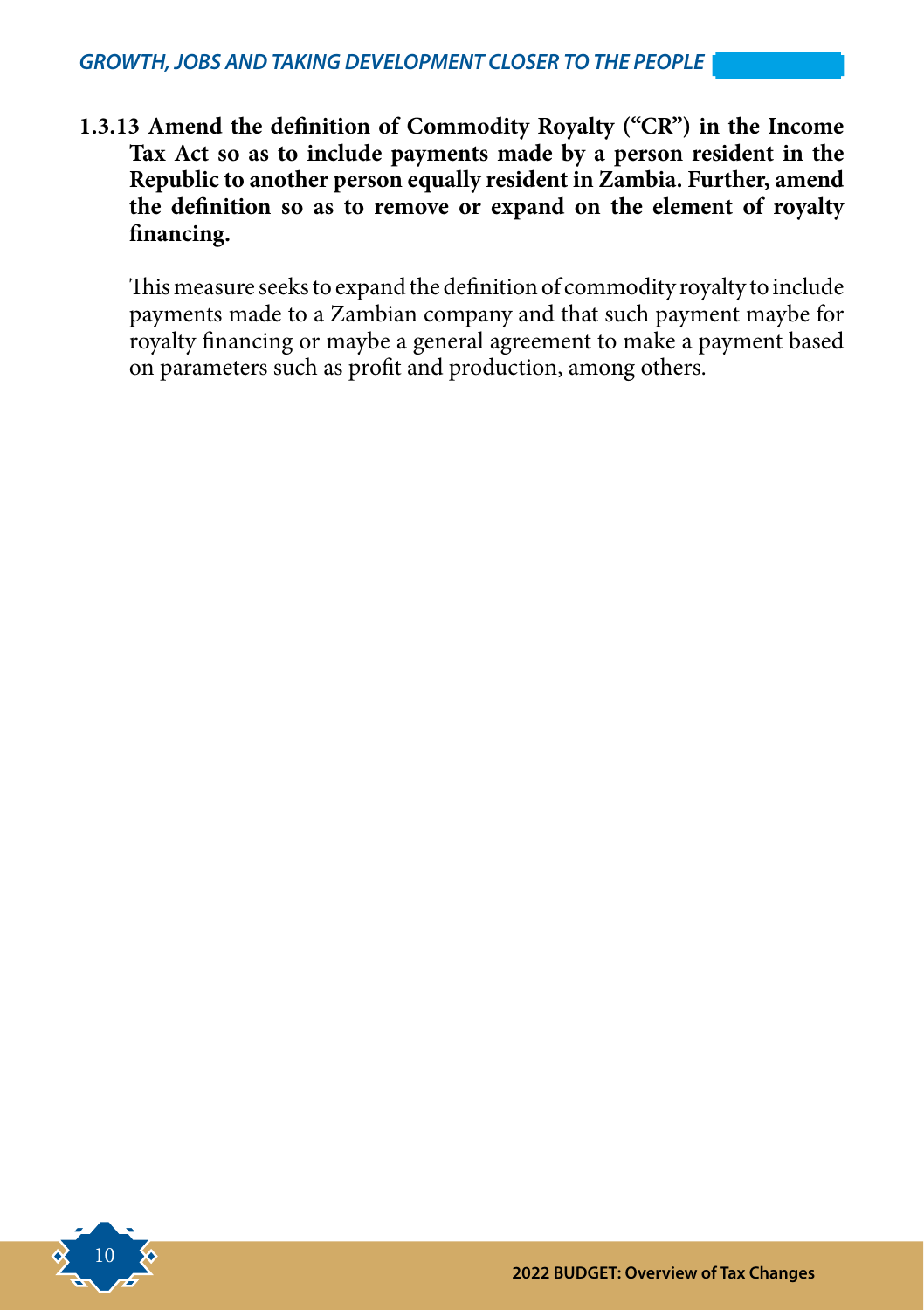**1.3.13 Amend the definition of Commodity Royalty ("CR") in the Income Tax Act so as to include payments made by a person resident in the Republic to another person equally resident in Zambia. Further, amend the definition so as to remove or expand on the element of royalty financing.** 

This measure seeks to expand the definition of commodity royalty to include payments made to a Zambian company and that such payment maybe for royalty financing or maybe a general agreement to make a payment based on parameters such as profit and production, among others.

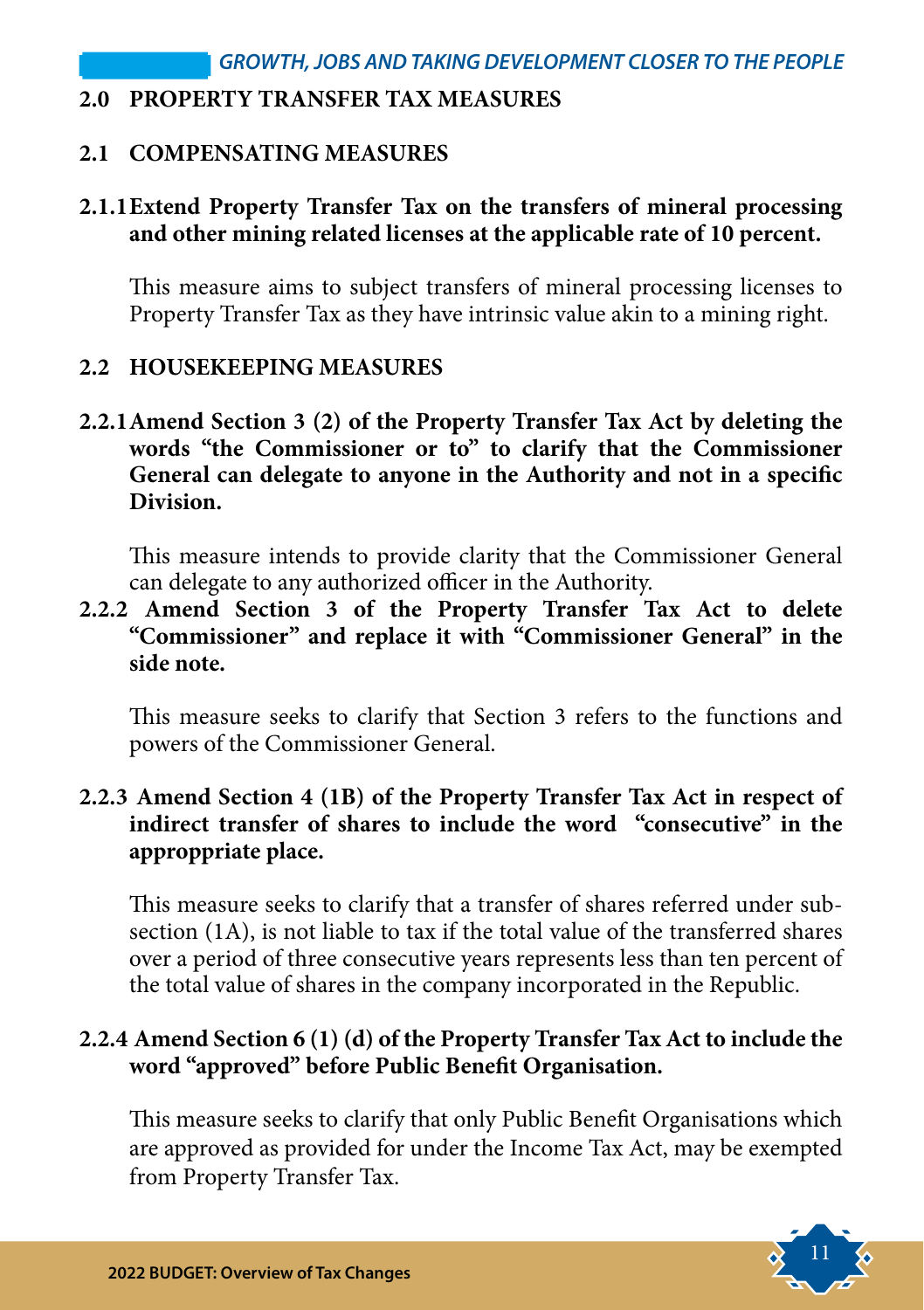#### **2.0 PROPERTY TRANSFER TAX MEASURES**

#### **2.1 COMPENSATING MEASURES**

#### **2.1.1Extend Property Transfer Tax on the transfers of mineral processing and other mining related licenses at the applicable rate of 10 percent.**

This measure aims to subject transfers of mineral processing licenses to Property Transfer Tax as they have intrinsic value akin to a mining right.

#### **2.2 HOUSEKEEPING MEASURES**

**2.2.1Amend Section 3 (2) of the Property Transfer Tax Act by deleting the words "the Commissioner or to" to clarify that the Commissioner General can delegate to anyone in the Authority and not in a specific Division.**

This measure intends to provide clarity that the Commissioner General can delegate to any authorized officer in the Authority.

**2.2.2 Amend Section 3 of the Property Transfer Tax Act to delete "Commissioner" and replace it with "Commissioner General" in the side note.**

This measure seeks to clarify that Section 3 refers to the functions and powers of the Commissioner General.

#### **2.2.3 Amend Section 4 (1B) of the Property Transfer Tax Act in respect of indirect transfer of shares to include the word "consecutive" in the approppriate place.**

This measure seeks to clarify that a transfer of shares referred under subsection (1A), is not liable to tax if the total value of the transferred shares over a period of three consecutive years represents less than ten percent of the total value of shares in the company incorporated in the Republic.

#### **2.2.4 Amend Section 6 (1) (d) of the Property Transfer Tax Act to include the word "approved" before Public Benefit Organisation.**

This measure seeks to clarify that only Public Benefit Organisations which are approved as provided for under the Income Tax Act, may be exempted from Property Transfer Tax.

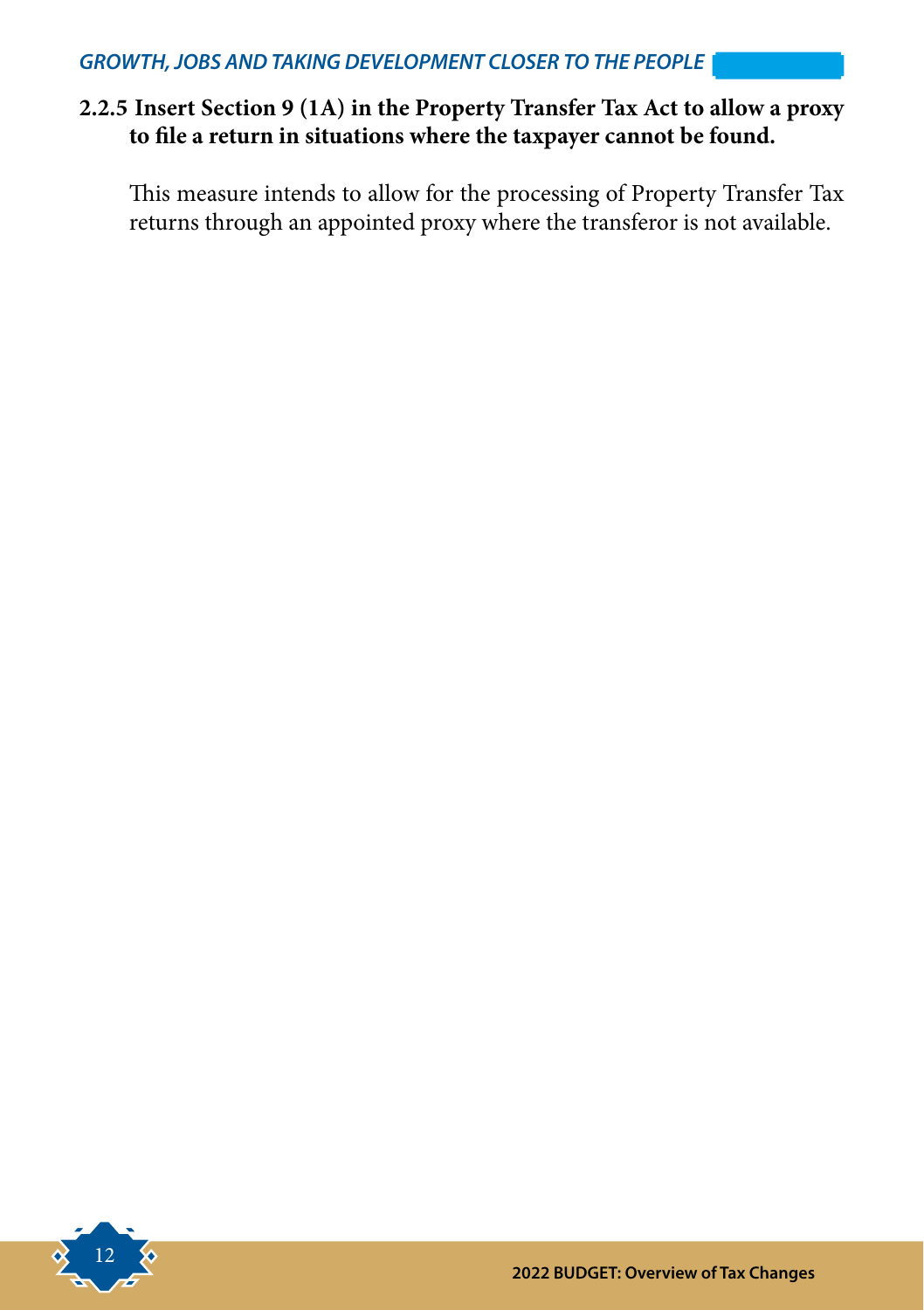#### **2.2.5 Insert Section 9 (1A) in the Property Transfer Tax Act to allow a proxy to file a return in situations where the taxpayer cannot be found.**

This measure intends to allow for the processing of Property Transfer Tax returns through an appointed proxy where the transferor is not available.

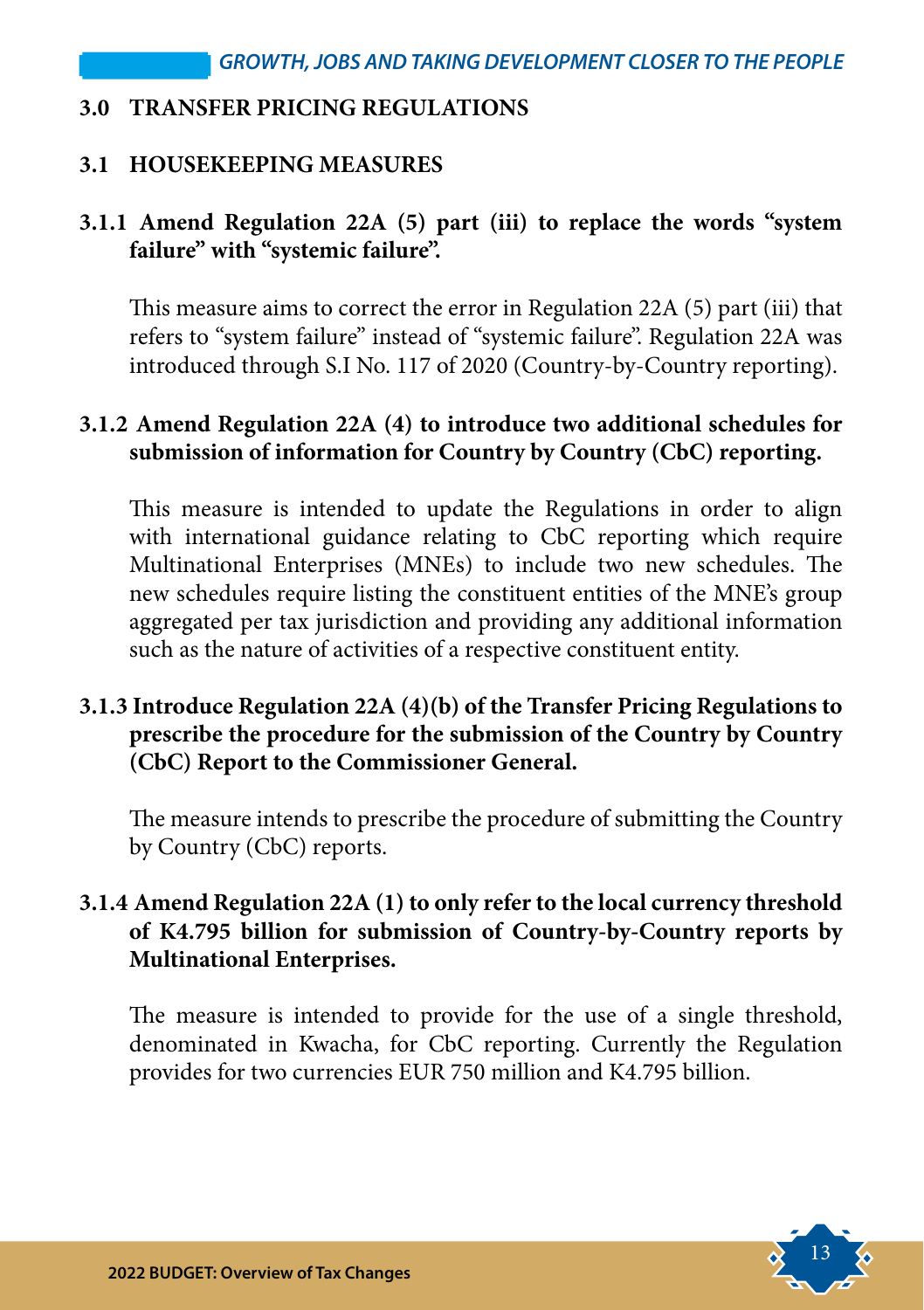#### **3.0 TRANSFER PRICING REGULATIONS**

#### **3.1 HOUSEKEEPING MEASURES**

#### **3.1.1 Amend Regulation 22A (5) part (iii) to replace the words "system failure" with "systemic failure".**

This measure aims to correct the error in Regulation 22A (5) part (iii) that refers to "system failure" instead of "systemic failure". Regulation 22A was introduced through S.I No. 117 of 2020 (Country-by-Country reporting).

#### **3.1.2 Amend Regulation 22A (4) to introduce two additional schedules for submission of information for Country by Country (CbC) reporting.**

This measure is intended to update the Regulations in order to align with international guidance relating to CbC reporting which require Multinational Enterprises (MNEs) to include two new schedules. The new schedules require listing the constituent entities of the MNE's group aggregated per tax jurisdiction and providing any additional information such as the nature of activities of a respective constituent entity.

#### **3.1.3 Introduce Regulation 22A (4)(b) of the Transfer Pricing Regulations to prescribe the procedure for the submission of the Country by Country (CbC) Report to the Commissioner General.**

The measure intends to prescribe the procedure of submitting the Country by Country (CbC) reports.

#### **3.1.4 Amend Regulation 22A (1) to only refer to the local currency threshold of K4.795 billion for submission of Country-by-Country reports by Multinational Enterprises.**

The measure is intended to provide for the use of a single threshold, denominated in Kwacha, for CbC reporting. Currently the Regulation provides for two currencies EUR 750 million and K4.795 billion.

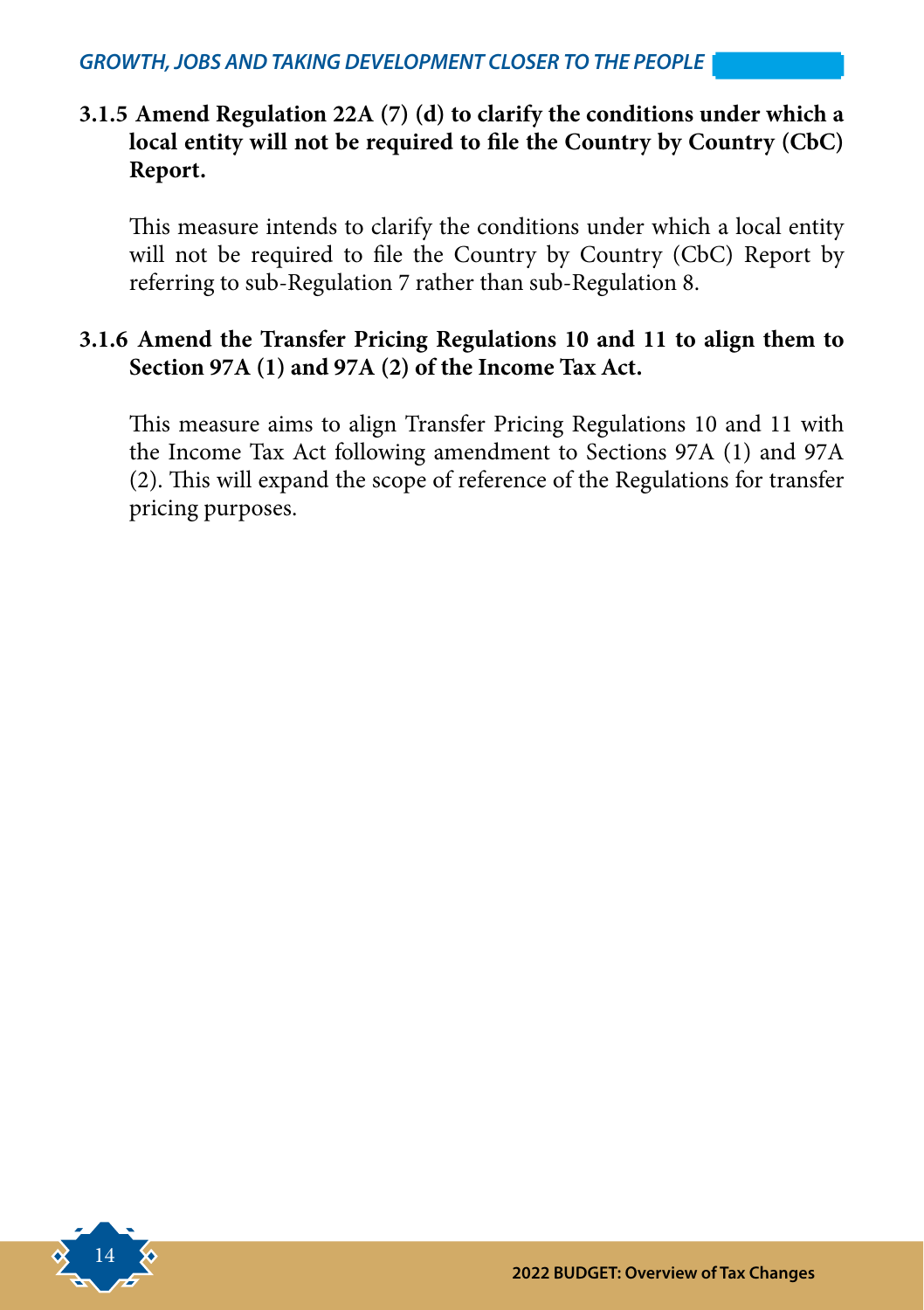#### **3.1.5 Amend Regulation 22A (7) (d) to clarify the conditions under which a local entity will not be required to file the Country by Country (CbC) Report.**

This measure intends to clarify the conditions under which a local entity will not be required to file the Country by Country (CbC) Report by referring to sub-Regulation 7 rather than sub-Regulation 8.

#### **3.1.6 Amend the Transfer Pricing Regulations 10 and 11 to align them to Section 97A (1) and 97A (2) of the Income Tax Act.**

This measure aims to align Transfer Pricing Regulations 10 and 11 with the Income Tax Act following amendment to Sections 97A (1) and 97A (2). This will expand the scope of reference of the Regulations for transfer pricing purposes.

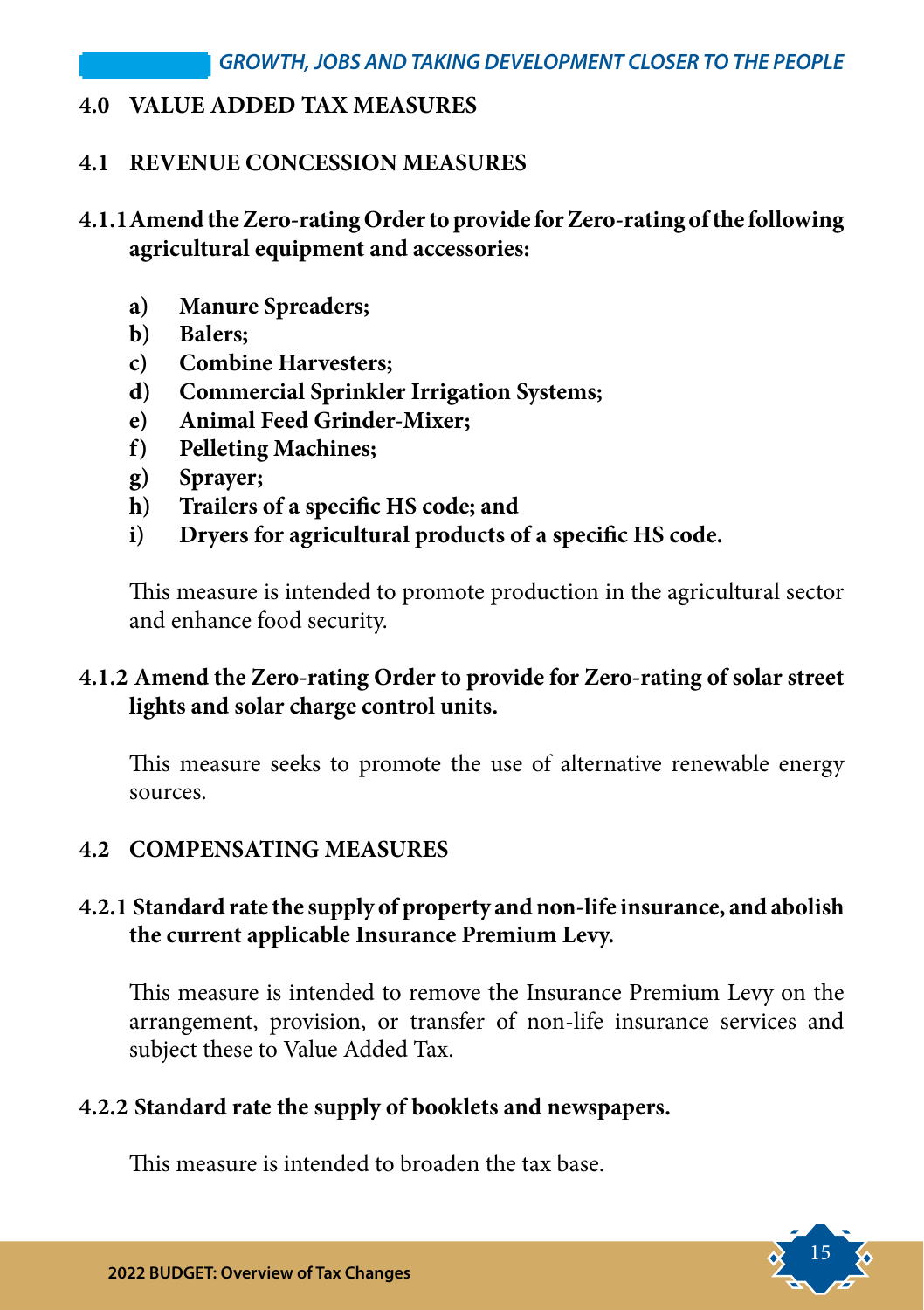#### **4.0 VALUE ADDED TAX MEASURES**

#### **4.1 REVENUE CONCESSION MEASURES**

#### **4.1.1Amend the Zero-rating Order to provide for Zero-rating of the following agricultural equipment and accessories:**

- **a) Manure Spreaders;**
- **b) Balers;**
- **c) Combine Harvesters;**
- **d) Commercial Sprinkler Irrigation Systems;**
- **e) Animal Feed Grinder-Mixer;**
- **f) Pelleting Machines;**
- **g) Sprayer;**
- **h) Trailers of a specific HS code; and**
- **i) Dryers for agricultural products of a specific HS code.**

This measure is intended to promote production in the agricultural sector and enhance food security.

#### **4.1.2 Amend the Zero-rating Order to provide for Zero-rating of solar street lights and solar charge control units.**

This measure seeks to promote the use of alternative renewable energy sources.

#### **4.2 COMPENSATING MEASURES**

#### **4.2.1 Standard rate the supply of property and non-life insurance, and abolish the current applicable Insurance Premium Levy.**

This measure is intended to remove the Insurance Premium Levy on the arrangement, provision, or transfer of non-life insurance services and subject these to Value Added Tax.

#### **4.2.2 Standard rate the supply of booklets and newspapers.**

This measure is intended to broaden the tax base.

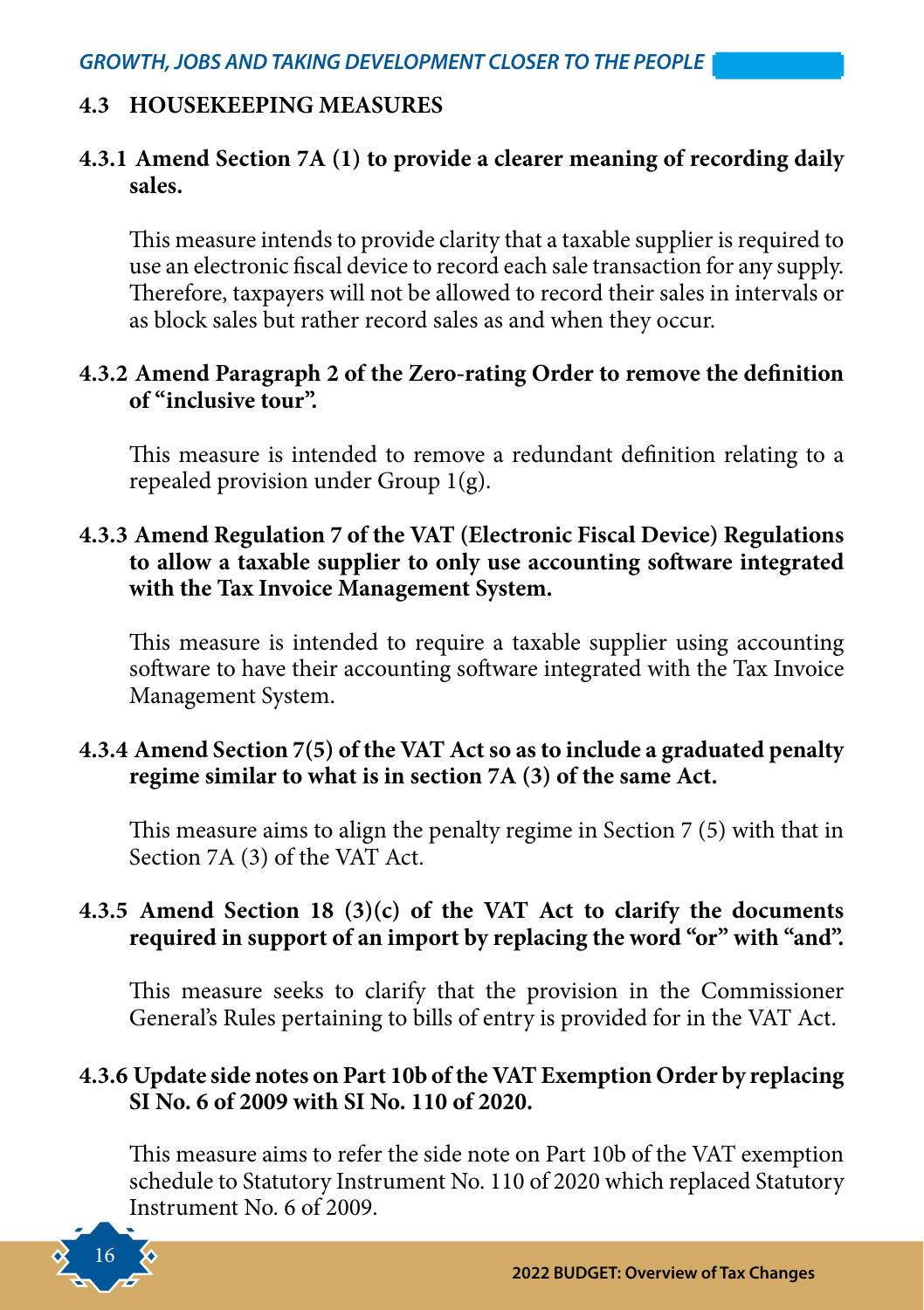#### **4.3 HOUSEKEEPING MEASURES**

#### **4.3.1 Amend Section 7A (1) to provide a clearer meaning of recording daily sales.**

This measure intends to provide clarity that a taxable supplier is required to use an electronic fiscal device to record each sale transaction for any supply. Therefore, taxpayers will not be allowed to record their sales in intervals or as block sales but rather record sales as and when they occur.

#### **4.3.2 Amend Paragraph 2 of the Zero-rating Order to remove the definition of "inclusive tour".**

This measure is intended to remove a redundant definition relating to a repealed provision under Group 1(g).

#### **4.3.3 Amend Regulation 7 of the VAT (Electronic Fiscal Device) Regulations to allow a taxable supplier to only use accounting software integrated with the Tax Invoice Management System.**

This measure is intended to require a taxable supplier using accounting software to have their accounting software integrated with the Tax Invoice Management System.

#### **4.3.4 Amend Section 7(5) of the VAT Act so as to include a graduated penalty regime similar to what is in section 7A (3) of the same Act.**

This measure aims to align the penalty regime in Section 7 (5) with that in Section 7A (3) of the VAT Act.

#### **4.3.5 Amend Section 18 (3)(c) of the VAT Act to clarify the documents required in support of an import by replacing the word "or" with "and".**

This measure seeks to clarify that the provision in the Commissioner General's Rules pertaining to bills of entry is provided for in the VAT Act.

#### **4.3.6 Update side notes on Part 10b of the VAT Exemption Order by replacing SI No. 6 of 2009 with SI No. 110 of 2020.**

This measure aims to refer the side note on Part 10b of the VAT exemption schedule to Statutory Instrument No. 110 of 2020 which replaced Statutory Instrument No. 6 of 2009.

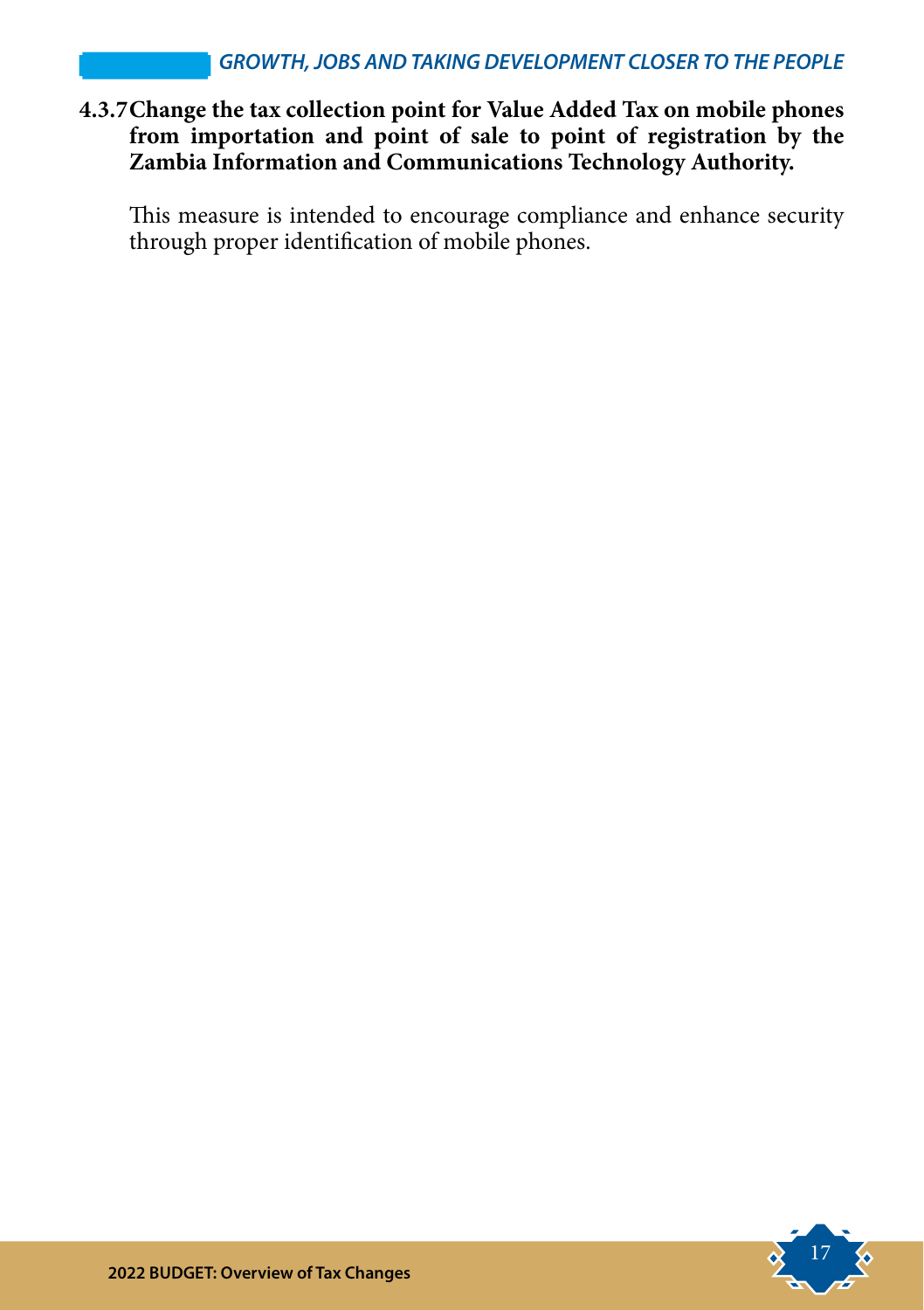#### **4.3.7Change the tax collection point for Value Added Tax on mobile phones from importation and point of sale to point of registration by the Zambia Information and Communications Technology Authority.**

This measure is intended to encourage compliance and enhance security through proper identification of mobile phones.

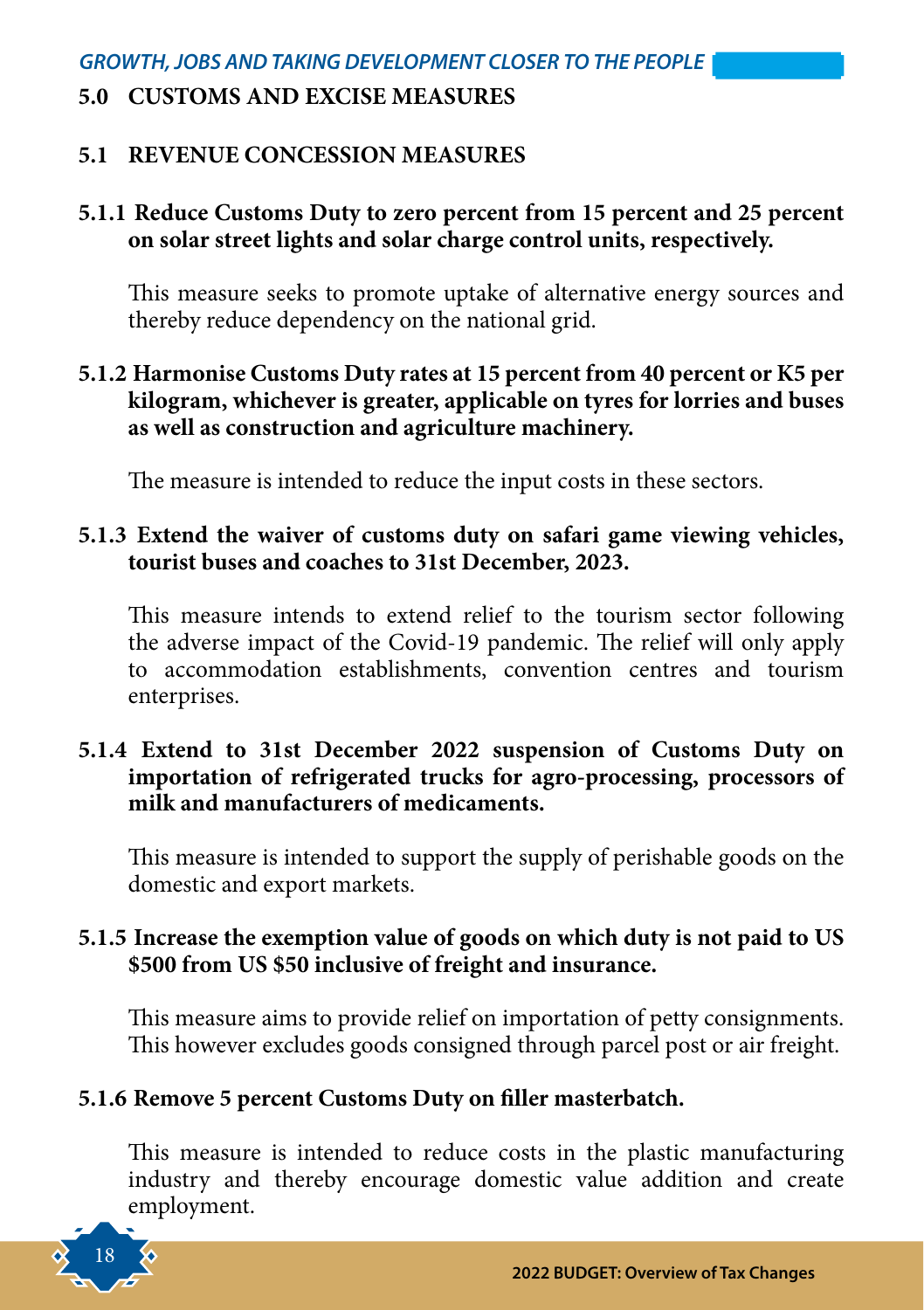#### **5.0 CUSTOMS AND EXCISE MEASURES**

#### **5.1 REVENUE CONCESSION MEASURES**

#### **5.1.1 Reduce Customs Duty to zero percent from 15 percent and 25 percent on solar street lights and solar charge control units, respectively.**

This measure seeks to promote uptake of alternative energy sources and thereby reduce dependency on the national grid.

#### **5.1.2 Harmonise Customs Duty rates at 15 percent from 40 percent or K5 per kilogram, whichever is greater, applicable on tyres for lorries and buses as well as construction and agriculture machinery.**

The measure is intended to reduce the input costs in these sectors.

#### **5.1.3 Extend the waiver of customs duty on safari game viewing vehicles, tourist buses and coaches to 31st December, 2023.**

This measure intends to extend relief to the tourism sector following the adverse impact of the Covid-19 pandemic. The relief will only apply to accommodation establishments, convention centres and tourism enterprises.

#### **5.1.4 Extend to 31st December 2022 suspension of Customs Duty on importation of refrigerated trucks for agro-processing, processors of milk and manufacturers of medicaments.**

This measure is intended to support the supply of perishable goods on the domestic and export markets.

#### **5.1.5 Increase the exemption value of goods on which duty is not paid to US \$500 from US \$50 inclusive of freight and insurance.**

This measure aims to provide relief on importation of petty consignments. This however excludes goods consigned through parcel post or air freight.

#### **5.1.6 Remove 5 percent Customs Duty on filler masterbatch.**

This measure is intended to reduce costs in the plastic manufacturing industry and thereby encourage domestic value addition and create employment.

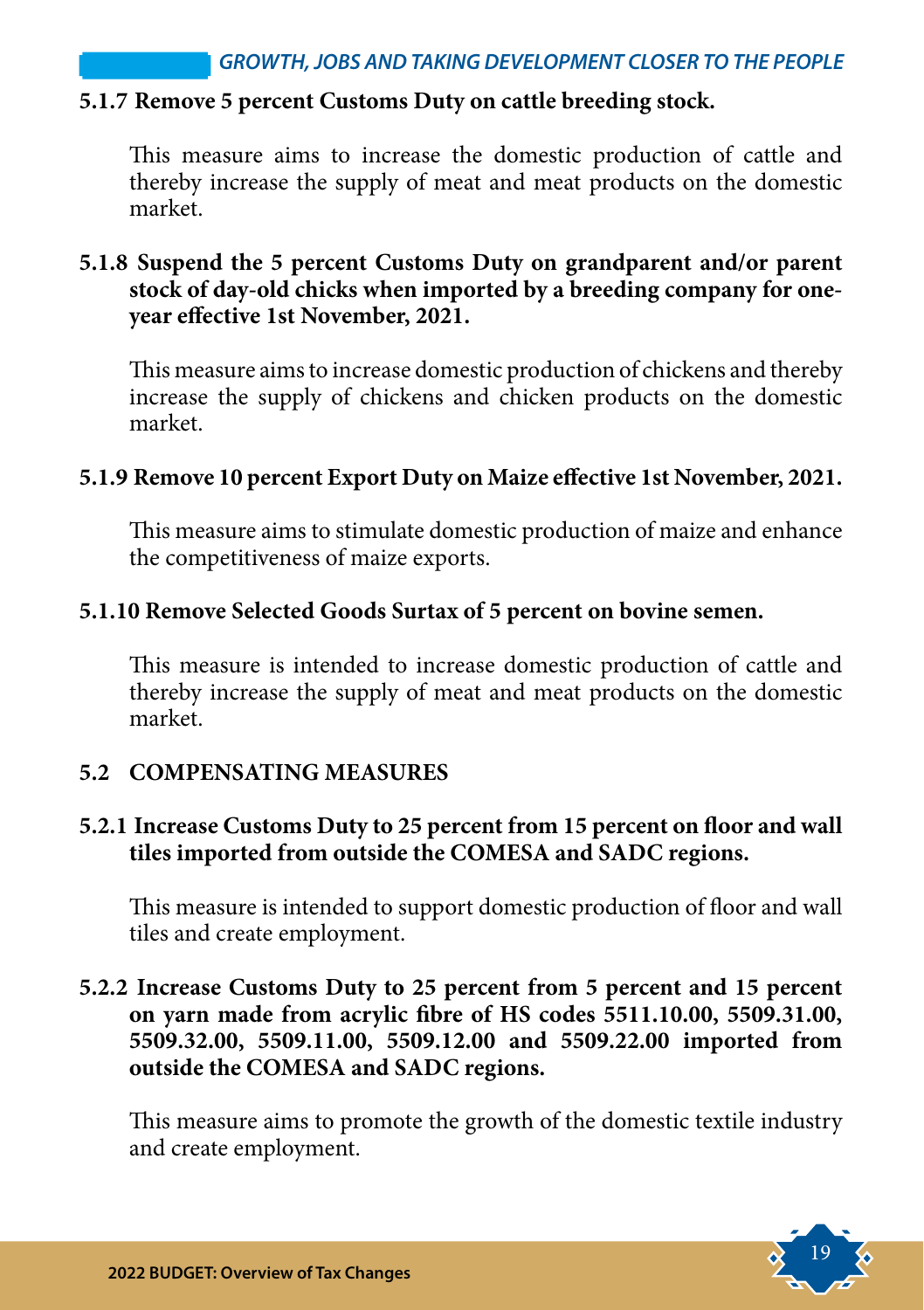#### **5.1.7 Remove 5 percent Customs Duty on cattle breeding stock.**

This measure aims to increase the domestic production of cattle and thereby increase the supply of meat and meat products on the domestic market.

#### **5.1.8 Suspend the 5 percent Customs Duty on grandparent and/or parent stock of day-old chicks when imported by a breeding company for oneyear effective 1st November, 2021.**

This measure aims to increase domestic production of chickens and thereby increase the supply of chickens and chicken products on the domestic market.

#### **5.1.9 Remove 10 percent Export Duty on Maize effective 1st November, 2021.**

This measure aims to stimulate domestic production of maize and enhance the competitiveness of maize exports.

#### **5.1.10 Remove Selected Goods Surtax of 5 percent on bovine semen.**

This measure is intended to increase domestic production of cattle and thereby increase the supply of meat and meat products on the domestic market.

#### **5.2 COMPENSATING MEASURES**

#### **5.2.1 Increase Customs Duty to 25 percent from 15 percent on floor and wall tiles imported from outside the COMESA and SADC regions.**

This measure is intended to support domestic production of floor and wall tiles and create employment.

#### **5.2.2 Increase Customs Duty to 25 percent from 5 percent and 15 percent on yarn made from acrylic fibre of HS codes 5511.10.00, 5509.31.00, 5509.32.00, 5509.11.00, 5509.12.00 and 5509.22.00 imported from outside the COMESA and SADC regions.**

This measure aims to promote the growth of the domestic textile industry and create employment.

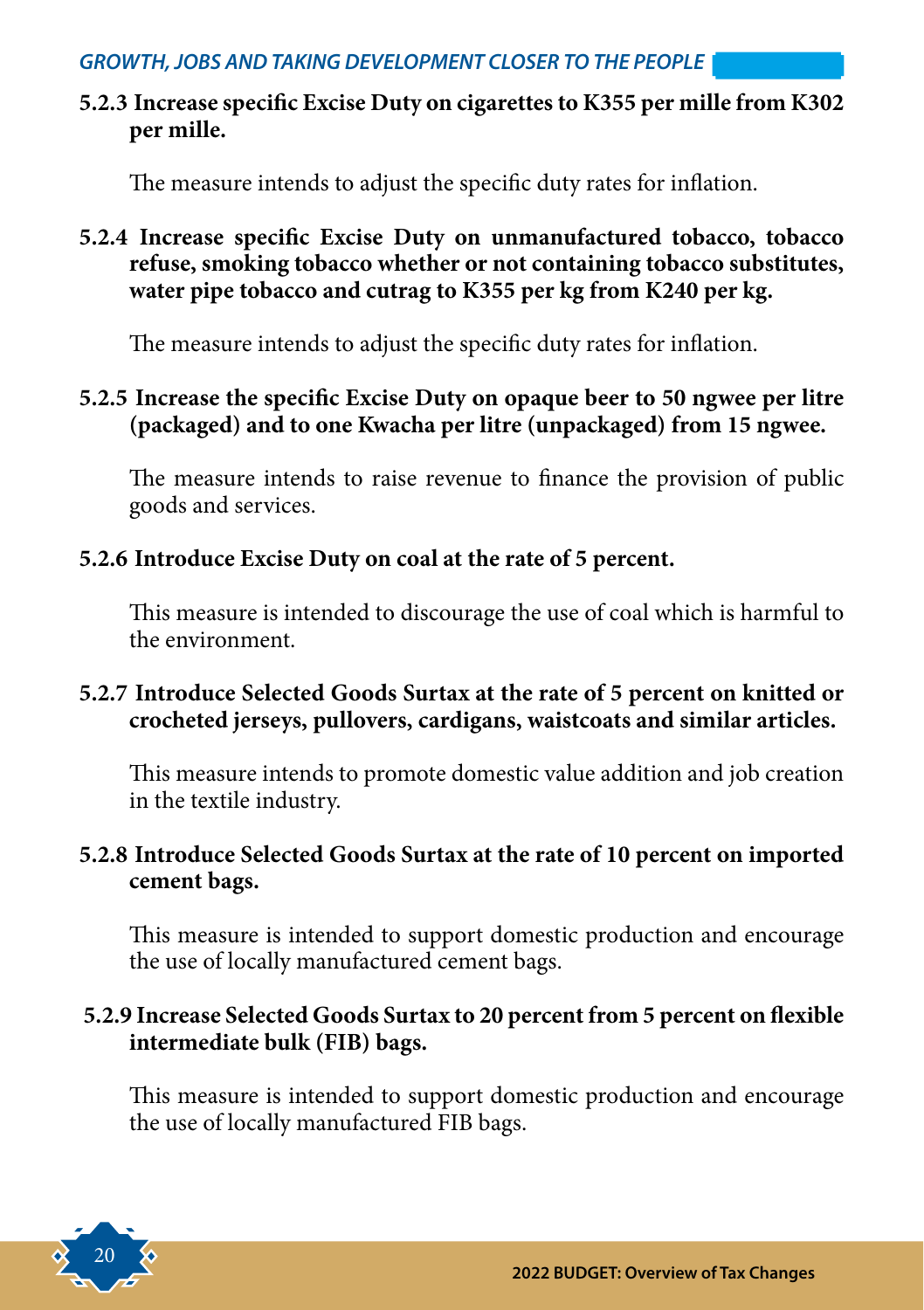**5.2.3 Increase specific Excise Duty on cigarettes to K355 per mille from K302 per mille.**

The measure intends to adjust the specific duty rates for inflation.

**5.2.4 Increase specific Excise Duty on unmanufactured tobacco, tobacco refuse, smoking tobacco whether or not containing tobacco substitutes, water pipe tobacco and cutrag to K355 per kg from K240 per kg.**

The measure intends to adjust the specific duty rates for inflation.

#### **5.2.5 Increase the specific Excise Duty on opaque beer to 50 ngwee per litre (packaged) and to one Kwacha per litre (unpackaged) from 15 ngwee.**

The measure intends to raise revenue to finance the provision of public goods and services.

#### **5.2.6 Introduce Excise Duty on coal at the rate of 5 percent.**

This measure is intended to discourage the use of coal which is harmful to the environment.

#### **5.2.7 Introduce Selected Goods Surtax at the rate of 5 percent on knitted or crocheted jerseys, pullovers, cardigans, waistcoats and similar articles.**

This measure intends to promote domestic value addition and job creation in the textile industry.

#### **5.2.8 Introduce Selected Goods Surtax at the rate of 10 percent on imported cement bags.**

This measure is intended to support domestic production and encourage the use of locally manufactured cement bags.

#### **5.2.9 Increase Selected Goods Surtax to 20 percent from 5 percent on flexible intermediate bulk (FIB) bags.**

This measure is intended to support domestic production and encourage the use of locally manufactured FIB bags.

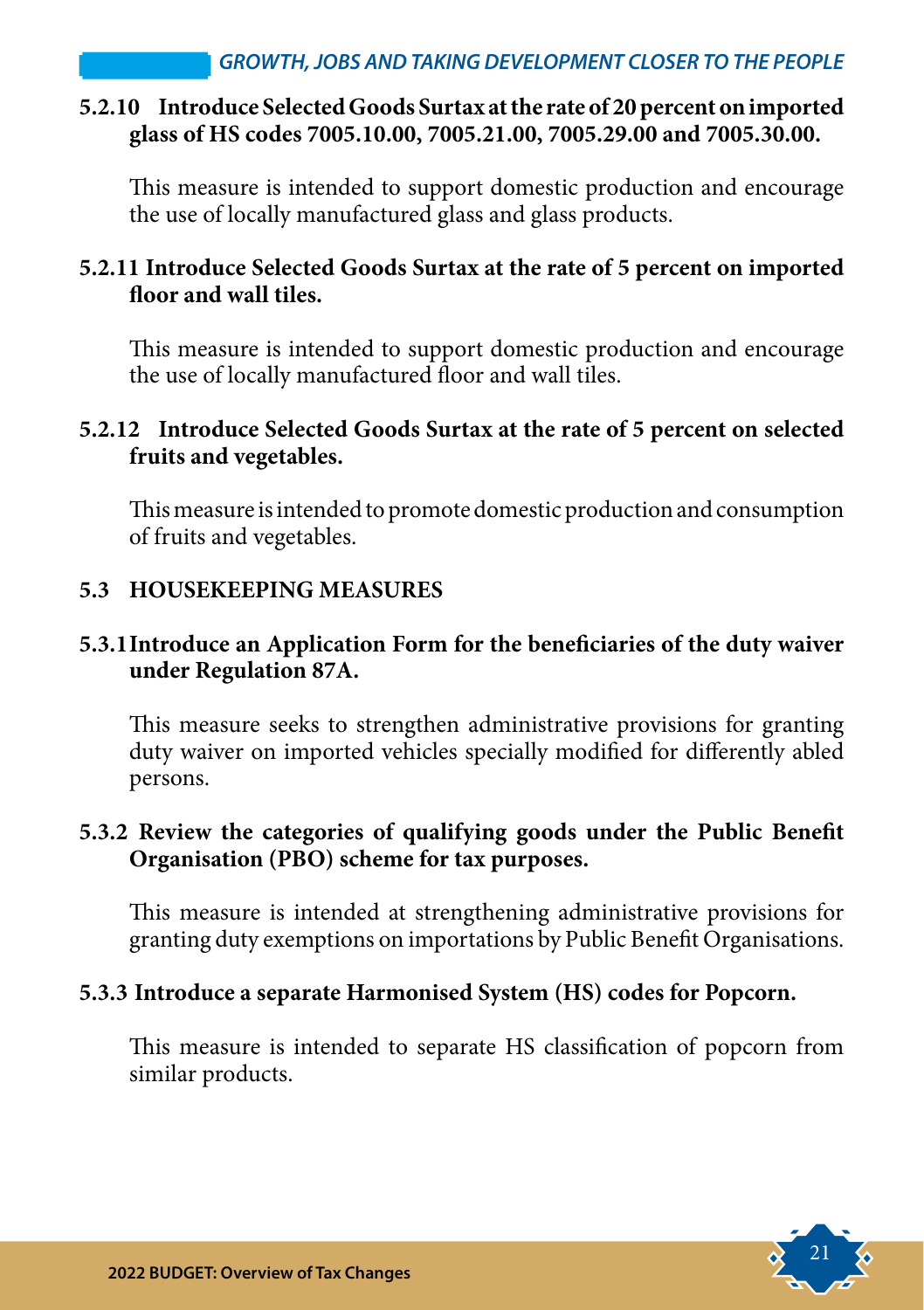#### **5.2.10 Introduce Selected Goods Surtax at the rate of 20 percent on imported glass of HS codes 7005.10.00, 7005.21.00, 7005.29.00 and 7005.30.00.**

This measure is intended to support domestic production and encourage the use of locally manufactured glass and glass products.

#### **5.2.11 Introduce Selected Goods Surtax at the rate of 5 percent on imported floor and wall tiles.**

This measure is intended to support domestic production and encourage the use of locally manufactured floor and wall tiles.

#### **5.2.12 Introduce Selected Goods Surtax at the rate of 5 percent on selected fruits and vegetables.**

This measure is intended to promote domestic production and consumption of fruits and vegetables.

#### **5.3 HOUSEKEEPING MEASURES**

#### **5.3.1Introduce an Application Form for the beneficiaries of the duty waiver under Regulation 87A.**

This measure seeks to strengthen administrative provisions for granting duty waiver on imported vehicles specially modified for differently abled persons.

#### **5.3.2 Review the categories of qualifying goods under the Public Benefit Organisation (PBO) scheme for tax purposes.**

This measure is intended at strengthening administrative provisions for granting duty exemptions on importations by Public Benefit Organisations.

#### **5.3.3 Introduce a separate Harmonised System (HS) codes for Popcorn.**

This measure is intended to separate HS classification of popcorn from similar products.

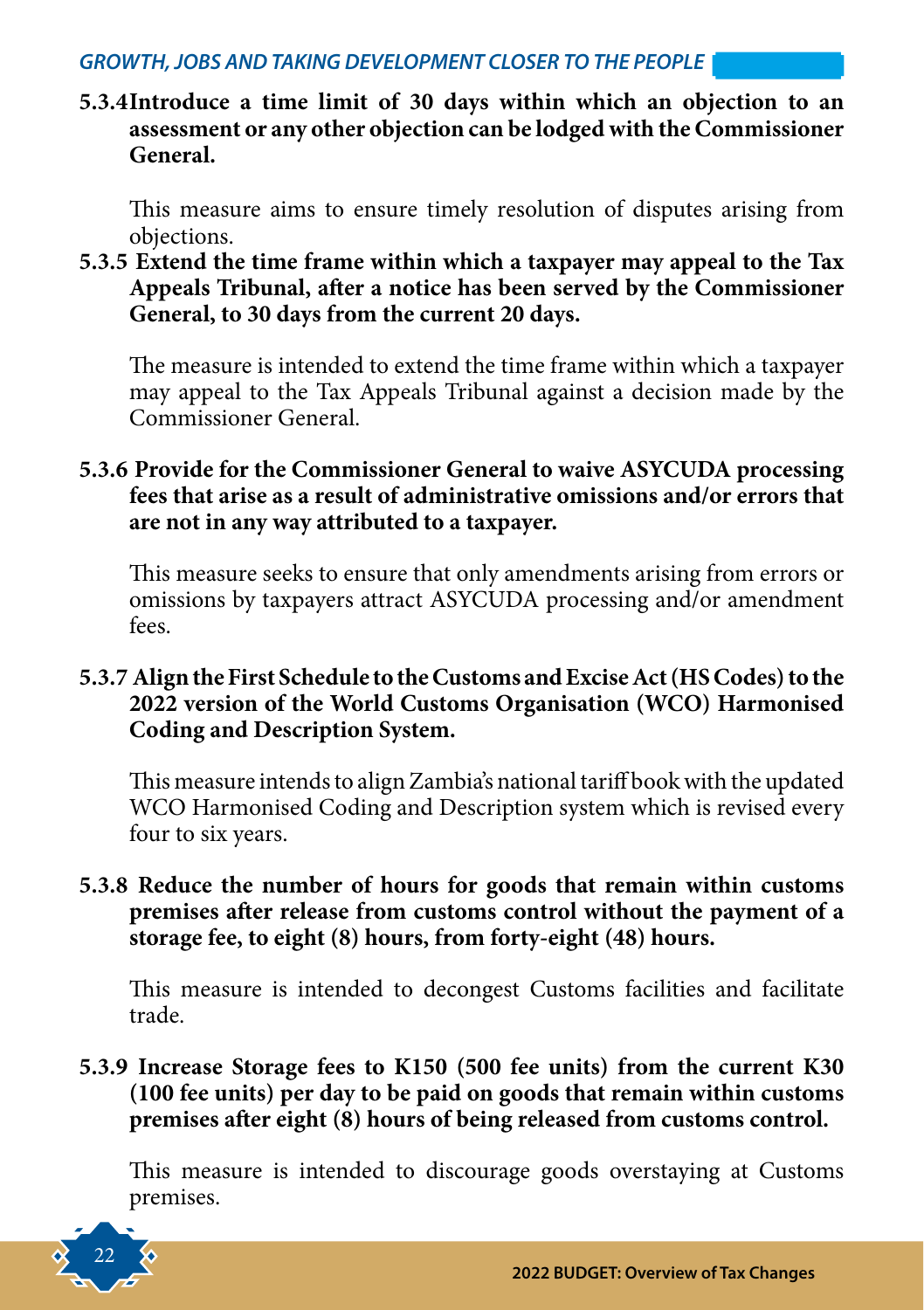**5.3.4Introduce a time limit of 30 days within which an objection to an assessment or any other objection can be lodged with the Commissioner General.** 

This measure aims to ensure timely resolution of disputes arising from objections.

**5.3.5 Extend the time frame within which a taxpayer may appeal to the Tax Appeals Tribunal, after a notice has been served by the Commissioner General, to 30 days from the current 20 days.** 

The measure is intended to extend the time frame within which a taxpayer may appeal to the Tax Appeals Tribunal against a decision made by the Commissioner General.

#### **5.3.6 Provide for the Commissioner General to waive ASYCUDA processing fees that arise as a result of administrative omissions and/or errors that are not in any way attributed to a taxpayer.**

This measure seeks to ensure that only amendments arising from errors or omissions by taxpayers attract ASYCUDA processing and/or amendment fees.

#### **5.3.7 Align the First Schedule to the Customs and Excise Act (HS Codes) to the 2022 version of the World Customs Organisation (WCO) Harmonised Coding and Description System.**

This measure intends to align Zambia's national tariff book with the updated WCO Harmonised Coding and Description system which is revised every four to six years.

#### **5.3.8 Reduce the number of hours for goods that remain within customs premises after release from customs control without the payment of a storage fee, to eight (8) hours, from forty-eight (48) hours.**

This measure is intended to decongest Customs facilities and facilitate trade.

#### **5.3.9 Increase Storage fees to K150 (500 fee units) from the current K30 (100 fee units) per day to be paid on goods that remain within customs premises after eight (8) hours of being released from customs control.**

This measure is intended to discourage goods overstaying at Customs premises.

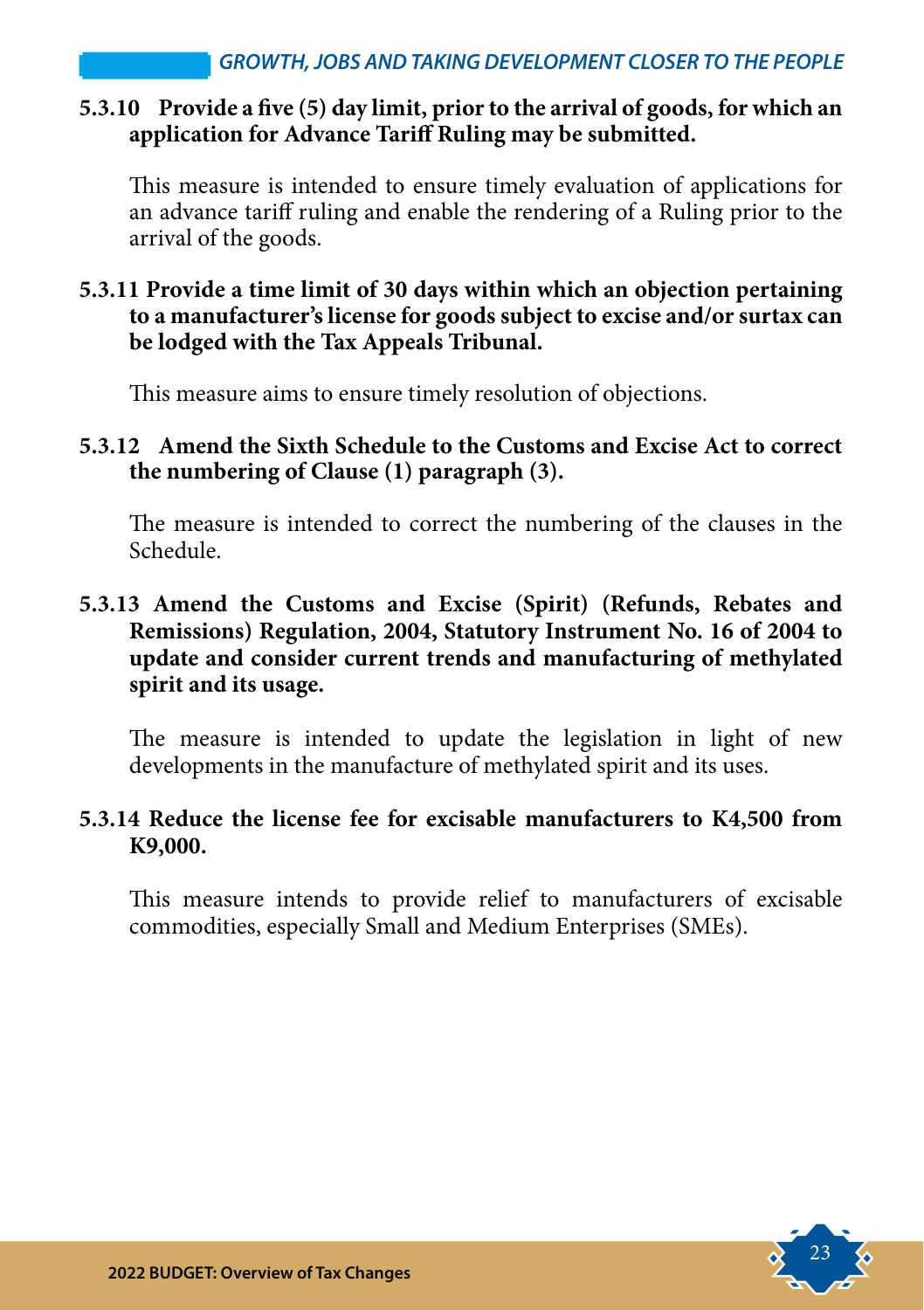#### **5.3.10 Provide a five (5) day limit, prior to the arrival of goods, for which an application for Advance Tariff Ruling may be submitted.**

This measure is intended to ensure timely evaluation of applications for an advance tariff ruling and enable the rendering of a Ruling prior to the arrival of the goods.

#### **5.3.11 Provide a time limit of 30 days within which an objection pertaining to a manufacturer's license for goods subject to excise and/or surtax can be lodged with the Tax Appeals Tribunal.**

This measure aims to ensure timely resolution of objections.

#### **5.3.12 Amend the Sixth Schedule to the Customs and Excise Act to correct the numbering of Clause (1) paragraph (3).**

The measure is intended to correct the numbering of the clauses in the Schedule.

#### **5.3.13 Amend the Customs and Excise (Spirit) (Refunds, Rebates and Remissions) Regulation, 2004, Statutory Instrument No. 16 of 2004 to update and consider current trends and manufacturing of methylated spirit and its usage.**

The measure is intended to update the legislation in light of new developments in the manufacture of methylated spirit and its uses.

#### **5.3.14 Reduce the license fee for excisable manufacturers to K4,500 from K9,000.**

This measure intends to provide relief to manufacturers of excisable commodities, especially Small and Medium Enterprises (SMEs).

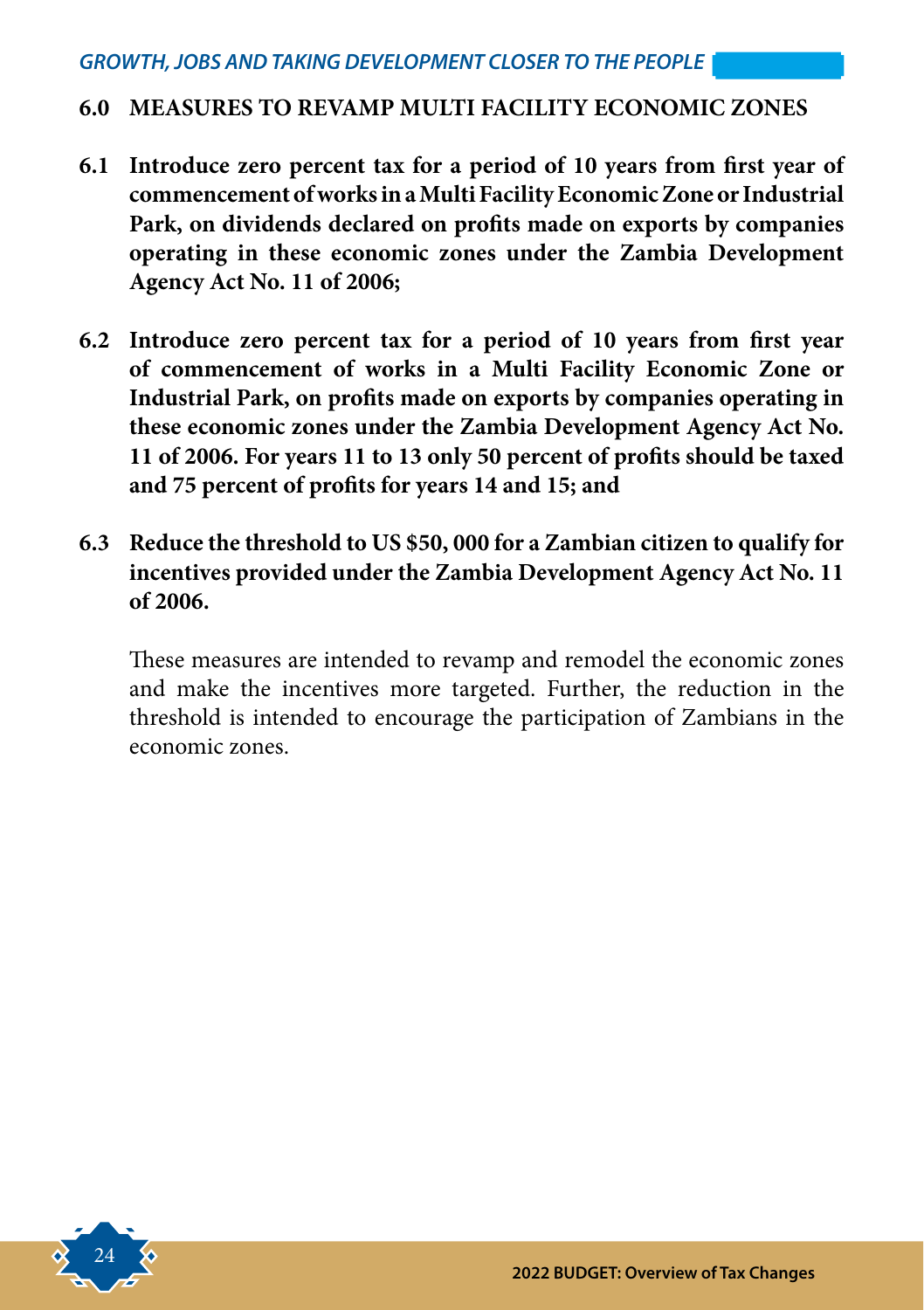#### **6.0 MEASURES TO REVAMP MULTI FACILITY ECONOMIC ZONES**

- **6.1 Introduce zero percent tax for a period of 10 years from first year of commencement of works in a Multi Facility Economic Zone or Industrial Park, on dividends declared on profits made on exports by companies operating in these economic zones under the Zambia Development Agency Act No. 11 of 2006;**
- **6.2 Introduce zero percent tax for a period of 10 years from first year of commencement of works in a Multi Facility Economic Zone or Industrial Park, on profits made on exports by companies operating in these economic zones under the Zambia Development Agency Act No. 11 of 2006. For years 11 to 13 only 50 percent of profits should be taxed and 75 percent of profits for years 14 and 15; and**
- **6.3 Reduce the threshold to US \$50, 000 for a Zambian citizen to qualify for incentives provided under the Zambia Development Agency Act No. 11 of 2006.**

These measures are intended to revamp and remodel the economic zones and make the incentives more targeted. Further, the reduction in the threshold is intended to encourage the participation of Zambians in the economic zones.